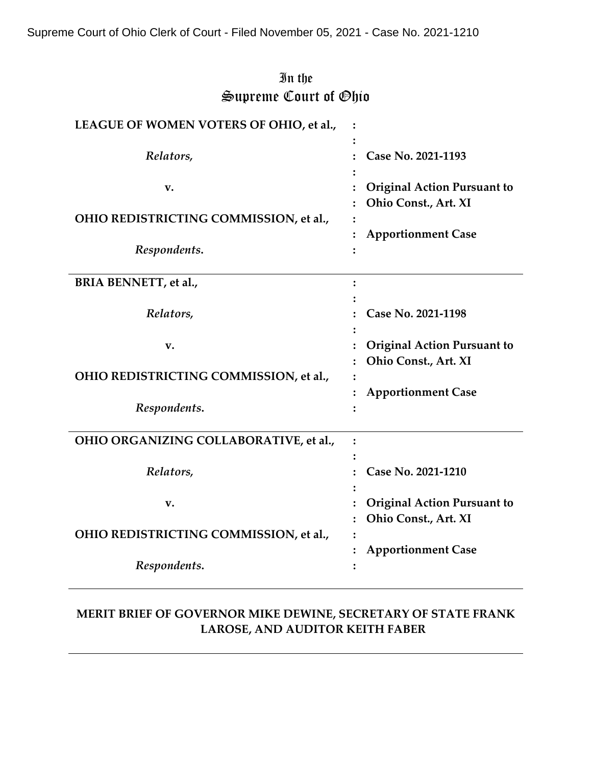# In the Supreme Court of Ohio

| LEAGUE OF WOMEN VOTERS OF OHIO, et al., |   |                                    |
|-----------------------------------------|---|------------------------------------|
|                                         |   |                                    |
| Relators,                               |   | Case No. 2021-1193                 |
| v.                                      |   | <b>Original Action Pursuant to</b> |
|                                         |   | Ohio Const., Art. XI               |
| OHIO REDISTRICTING COMMISSION, et al.,  |   |                                    |
|                                         |   | <b>Apportionment Case</b>          |
| Respondents.                            |   |                                    |
|                                         |   |                                    |
| <b>BRIA BENNETT</b> , et al.,           | : |                                    |
| Relators,                               |   | Case No. 2021-1198                 |
|                                         |   |                                    |
| v.                                      |   | <b>Original Action Pursuant to</b> |
|                                         |   | Ohio Const., Art. XI               |
| OHIO REDISTRICTING COMMISSION, et al.,  |   |                                    |
|                                         |   | <b>Apportionment Case</b>          |
| Respondents.                            |   |                                    |
| OHIO ORGANIZING COLLABORATIVE, et al.,  |   |                                    |
|                                         |   |                                    |
| Relators,                               |   | Case No. 2021-1210                 |
|                                         |   |                                    |
| v.                                      |   | <b>Original Action Pursuant to</b> |
|                                         |   | Ohio Const., Art. XI               |
| OHIO REDISTRICTING COMMISSION, et al.,  |   |                                    |
| Respondents.                            |   | <b>Apportionment Case</b>          |
|                                         |   |                                    |

# **MERIT BRIEF OF GOVERNOR MIKE DEWINE, SECRETARY OF STATE FRANK LAROSE, AND AUDITOR KEITH FABER**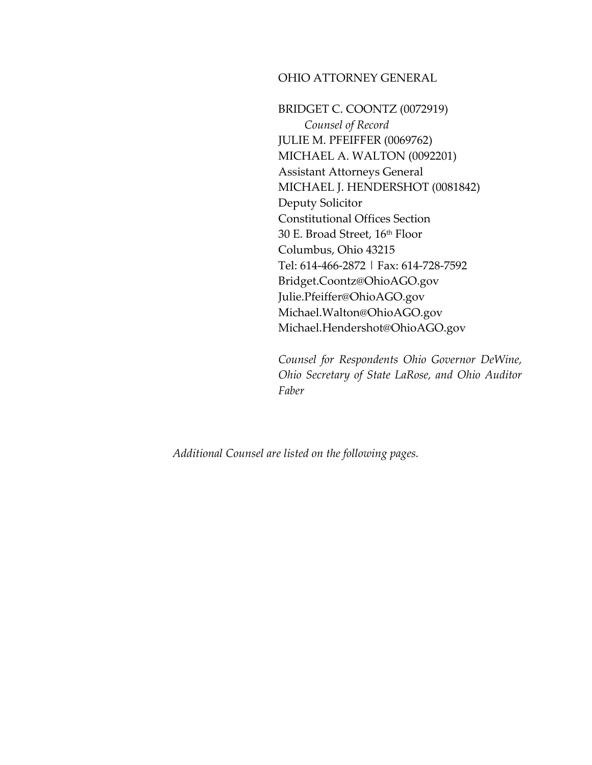### OHIO ATTORNEY GENERAL

BRIDGET C. COONTZ (0072919) *Counsel of Record* JULIE M. PFEIFFER (0069762) MICHAEL A. WALTON (0092201) Assistant Attorneys General MICHAEL J. HENDERSHOT (0081842) Deputy Solicitor Constitutional Offices Section 30 E. Broad Street, 16th Floor Columbus, Ohio 43215 Tel: 614-466-2872 | Fax: 614-728-7592 Bridget.Coontz@OhioAGO.gov Julie.Pfeiffer@OhioAGO.gov Michael.Walton@OhioAGO.gov Michael.Hendershot@OhioAGO.gov

*Counsel for Respondents Ohio Governor DeWine, Ohio Secretary of State LaRose, and Ohio Auditor Faber*

*Additional Counsel are listed on the following pages.*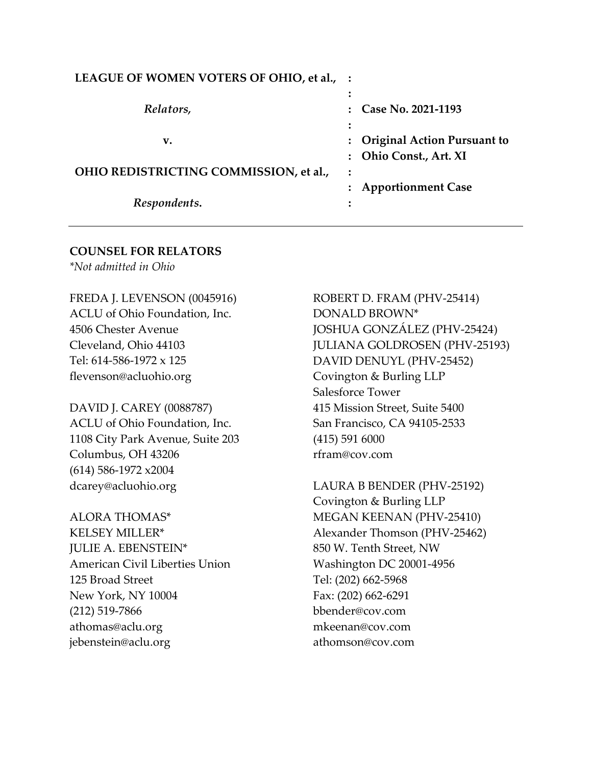| LEAGUE OF WOMEN VOTERS OF OHIO, et al., : |                                    |
|-------------------------------------------|------------------------------------|
|                                           |                                    |
| Relators,                                 | Case No. 2021-1193                 |
|                                           |                                    |
| v.                                        | <b>Original Action Pursuant to</b> |
|                                           | Ohio Const., Art. XI               |
| OHIO REDISTRICTING COMMISSION, et al.,    |                                    |
|                                           | <b>Apportionment Case</b>          |
| Respondents.                              |                                    |

### **COUNSEL FOR RELATORS**

*\*Not admitted in Ohio*

FREDA J. LEVENSON (0045916) ACLU of Ohio Foundation, Inc. 4506 Chester Avenue Cleveland, Ohio 44103 Tel: 614-586-1972 x 125 flevenson@acluohio.org

DAVID J. CAREY (0088787) ACLU of Ohio Foundation, Inc. 1108 City Park Avenue, Suite 203 Columbus, OH 43206 (614) 586-1972 x2004 dcarey@acluohio.org

ALORA THOMAS\* KELSEY MILLER\* JULIE A. EBENSTEIN\* American Civil Liberties Union 125 Broad Street New York, NY 10004 (212) 519-7866 athomas@aclu.org jebenstein@aclu.org

ROBERT D. FRAM (PHV-25414) DONALD BROWN\* JOSHUA GONZÁLEZ (PHV-25424) JULIANA GOLDROSEN (PHV-25193) DAVID DENUYL (PHV-25452) Covington & Burling LLP Salesforce Tower 415 Mission Street, Suite 5400 San Francisco, CA 94105-2533 (415) 591 6000 rfram@cov.com

LAURA B BENDER (PHV-25192) Covington & Burling LLP MEGAN KEENAN (PHV-25410) Alexander Thomson (PHV-25462) 850 W. Tenth Street, NW Washington DC 20001-4956 Tel: (202) 662-5968 Fax: (202) 662-6291 bbender@cov.com mkeenan@cov.com athomson@cov.com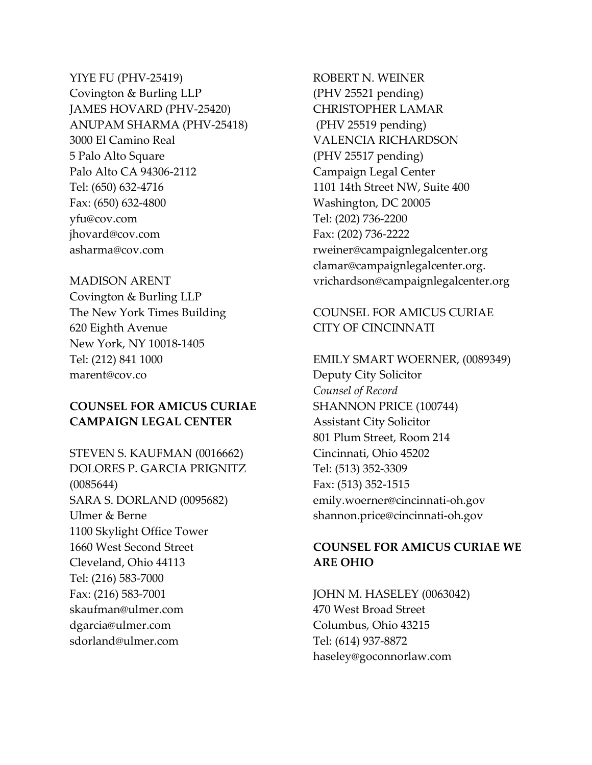YIYE FU (PHV-25419) Covington & Burling LLP JAMES HOVARD (PHV-25420) ANUPAM SHARMA (PHV-25418) 3000 El Camino Real 5 Palo Alto Square Palo Alto CA 94306-2112 Tel: (650) 632-4716 Fax: (650) 632-4800 yfu@cov.com jhovard@cov.com asharma@cov.com

### MADISON ARENT

Covington & Burling LLP The New York Times Building 620 Eighth Avenue New York, NY 10018-1405 Tel: (212) 841 1000 marent@cov.co

## **COUNSEL FOR AMICUS CURIAE CAMPAIGN LEGAL CENTER**

STEVEN S. KAUFMAN (0016662) DOLORES P. GARCIA PRIGNITZ (0085644) SARA S. DORLAND (0095682) Ulmer & Berne 1100 Skylight Office Tower 1660 West Second Street Cleveland, Ohio 44113 Tel: (216) 583-7000 Fax: (216) 583-7001 skaufman@ulmer.com dgarcia@ulmer.com sdorland@ulmer.com

ROBERT N. WEINER (PHV 25521 pending) CHRISTOPHER LAMAR (PHV 25519 pending) VALENCIA RICHARDSON (PHV 25517 pending) Campaign Legal Center 1101 14th Street NW, Suite 400 Washington, DC 20005 Tel: (202) 736-2200 Fax: (202) 736-2222 rweiner@campaignlegalcenter.org clamar@campaignlegalcenter.org. vrichardson@campaignlegalcenter.org

## COUNSEL FOR AMICUS CURIAE CITY OF CINCINNATI

EMILY SMART WOERNER, (0089349) Deputy City Solicitor *Counsel of Record* SHANNON PRICE (100744) Assistant City Solicitor 801 Plum Street, Room 214 Cincinnati, Ohio 45202 Tel: (513) 352-3309 Fax: (513) 352-1515 emily.woerner@cincinnati-oh.gov shannon.price@cincinnati-oh.gov

## **COUNSEL FOR AMICUS CURIAE WE ARE OHIO**

JOHN M. HASELEY (0063042) 470 West Broad Street Columbus, Ohio 43215 Tel: (614) 937-8872 haseley@goconnorlaw.com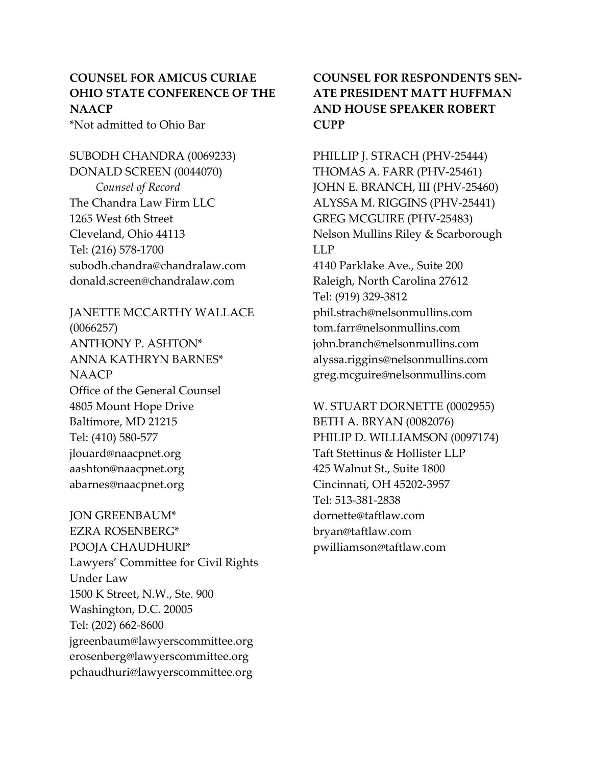# **COUNSEL FOR AMICUS CURIAE OHIO STATE CONFERENCE OF THE NAACP**

\*Not admitted to Ohio Bar

SUBODH CHANDRA (0069233) DONALD SCREEN (0044070) *Counsel of Record* The Chandra Law Firm LLC 1265 West 6th Street Cleveland, Ohio 44113 Tel: (216) 578-1700 subodh.chandra@chandralaw.com donald.screen@chandralaw.com

JANETTE MCCARTHY WALLACE (0066257) ANTHONY P. ASHTON\* ANNA KATHRYN BARNES\* NAACP Office of the General Counsel 4805 Mount Hope Drive Baltimore, MD 21215 Tel: (410) 580-577 jlouard@naacpnet.org aashton@naacpnet.org abarnes@naacpnet.org

JON GREENBAUM\* EZRA ROSENBERG\* POOJA CHAUDHURI\* Lawyers' Committee for Civil Rights Under Law 1500 K Street, N.W., Ste. 900 Washington, D.C. 20005 Tel: (202) 662-8600 jgreenbaum@lawyerscommittee.org erosenberg@lawyerscommittee.org pchaudhuri@lawyerscommittee.org

# **COUNSEL FOR RESPONDENTS SEN-ATE PRESIDENT MATT HUFFMAN AND HOUSE SPEAKER ROBERT CUPP**

PHILLIP J. STRACH (PHV-25444) THOMAS A. FARR (PHV-25461) JOHN E. BRANCH, III (PHV-25460) ALYSSA M. RIGGINS (PHV-25441) GREG MCGUIRE (PHV-25483) Nelson Mullins Riley & Scarborough LLP 4140 Parklake Ave., Suite 200 Raleigh, North Carolina 27612 Tel: (919) 329-3812 phil.strach@nelsonmullins.com tom.farr@nelsonmullins.com john.branch@nelsonmullins.com alyssa.riggins@nelsonmullins.com greg.mcguire@nelsonmullins.com

W. STUART DORNETTE (0002955) BETH A. BRYAN (0082076) PHILIP D. WILLIAMSON (0097174) Taft Stettinus & Hollister LLP 425 Walnut St., Suite 1800 Cincinnati, OH 45202-3957 Tel: 513-381-2838 dornette@taftlaw.com bryan@taftlaw.com pwilliamson@taftlaw.com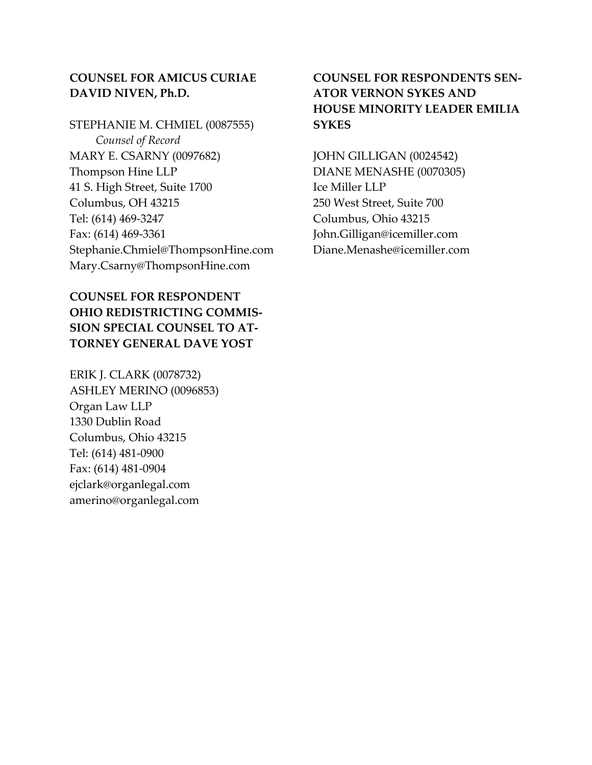## **COUNSEL FOR AMICUS CURIAE DAVID NIVEN, Ph.D.**

## STEPHANIE M. CHMIEL (0087555)

*Counsel of Record* MARY E. CSARNY (0097682) Thompson Hine LLP 41 S. High Street, Suite 1700 Columbus, OH 43215 Tel: (614) 469-3247 Fax: (614) 469-3361 Stephanie.Chmiel@ThompsonHine.com Mary.Csarny@ThompsonHine.com

# **COUNSEL FOR RESPONDENT OHIO REDISTRICTING COMMIS-SION SPECIAL COUNSEL TO AT-TORNEY GENERAL DAVE YOST**

ERIK J. CLARK (0078732) ASHLEY MERINO (0096853) Organ Law LLP 1330 Dublin Road Columbus, Ohio 43215 Tel: (614) 481-0900 Fax: (614) 481-0904 ejclark@organlegal.com amerino@organlegal.com

# **COUNSEL FOR RESPONDENTS SEN-ATOR VERNON SYKES AND HOUSE MINORITY LEADER EMILIA SYKES**

JOHN GILLIGAN (0024542) DIANE MENASHE (0070305) Ice Miller LLP 250 West Street, Suite 700 Columbus, Ohio 43215 John.Gilligan@icemiller.com Diane.Menashe@icemiller.com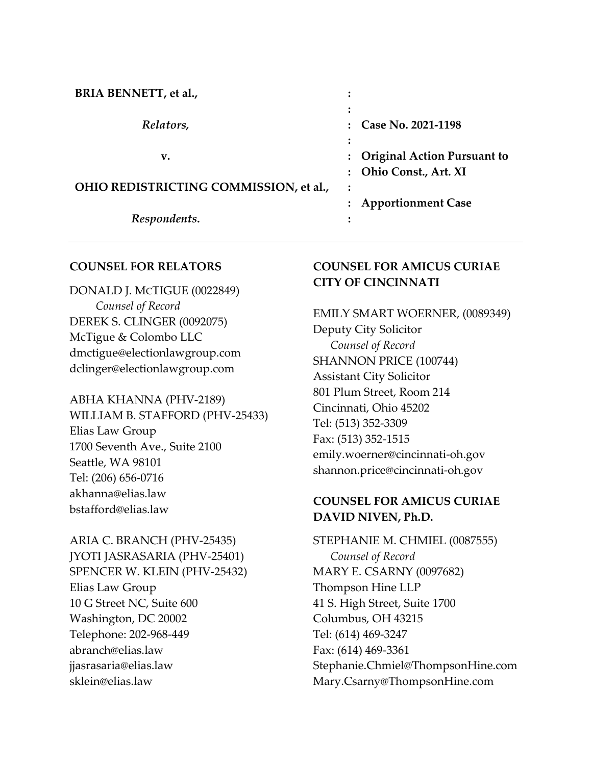| BRIA BENNETT, et al.,                  |                                                              |
|----------------------------------------|--------------------------------------------------------------|
| Relators,                              | Case No. 2021-1198                                           |
| v.                                     | <b>Original Action Pursuant to</b><br>: Ohio Const., Art. XI |
| OHIO REDISTRICTING COMMISSION, et al., |                                                              |
| Respondents.                           | <b>Apportionment Case</b>                                    |

### **COUNSEL FOR RELATORS**

DONALD J. MCTIGUE (0022849) *Counsel of Record* DEREK S. CLINGER (0092075) McTigue & Colombo LLC dmctigue@electionlawgroup.com dclinger@electionlawgroup.com

ABHA KHANNA (PHV-2189) WILLIAM B. STAFFORD (PHV-25433) Elias Law Group 1700 Seventh Ave., Suite 2100 Seattle, WA 98101 Tel: (206) 656-0716 akhanna@elias.law bstafford@elias.law

ARIA C. BRANCH (PHV-25435) JYOTI JASRASARIA (PHV-25401) SPENCER W. KLEIN (PHV-25432) Elias Law Group 10 G Street NC, Suite 600 Washington, DC 20002 Telephone: 202-968-449 abranch@elias.law jjasrasaria@elias.law sklein@elias.law

## **COUNSEL FOR AMICUS CURIAE CITY OF CINCINNATI**

EMILY SMART WOERNER, (0089349) Deputy City Solicitor *Counsel of Record* SHANNON PRICE (100744) Assistant City Solicitor 801 Plum Street, Room 214 Cincinnati, Ohio 45202 Tel: (513) 352-3309 Fax: (513) 352-1515 emily.woerner@cincinnati-oh.gov shannon.price@cincinnati-oh.gov

# **COUNSEL FOR AMICUS CURIAE DAVID NIVEN, Ph.D.**

STEPHANIE M. CHMIEL (0087555) *Counsel of Record* MARY E. CSARNY (0097682) Thompson Hine LLP 41 S. High Street, Suite 1700 Columbus, OH 43215 Tel: (614) 469-3247 Fax: (614) 469-3361 Stephanie.Chmiel@ThompsonHine.com Mary.Csarny@ThompsonHine.com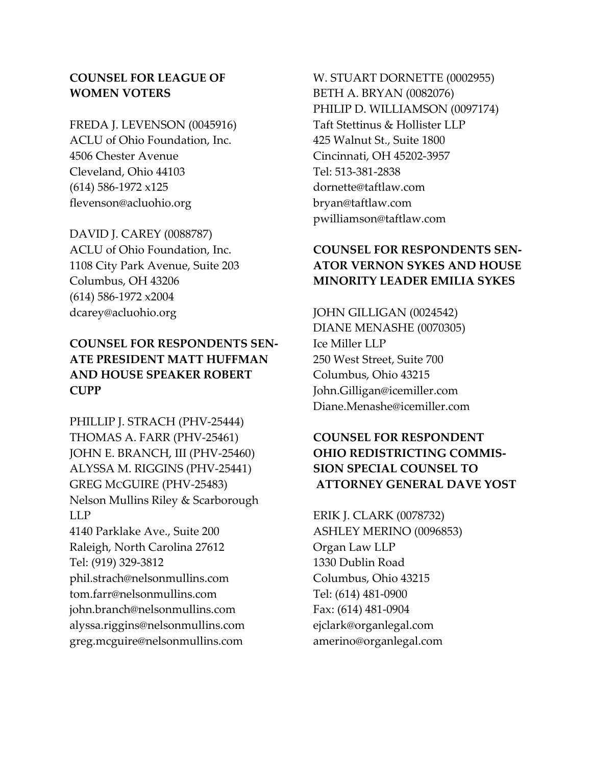## **COUNSEL FOR LEAGUE OF WOMEN VOTERS**

FREDA J. LEVENSON (0045916) ACLU of Ohio Foundation, Inc. 4506 Chester Avenue Cleveland, Ohio 44103 (614) 586-1972 x125 flevenson@acluohio.org

DAVID J. CAREY (0088787) ACLU of Ohio Foundation, Inc. 1108 City Park Avenue, Suite 203 Columbus, OH 43206 (614) 586-1972 x2004 dcarey@acluohio.org

# **COUNSEL FOR RESPONDENTS SEN-ATE PRESIDENT MATT HUFFMAN AND HOUSE SPEAKER ROBERT CUPP**

PHILLIP J. STRACH (PHV-25444) THOMAS A. FARR (PHV-25461) JOHN E. BRANCH, III (PHV-25460) ALYSSA M. RIGGINS (PHV-25441) GREG MCGUIRE (PHV-25483) Nelson Mullins Riley & Scarborough LLP 4140 Parklake Ave., Suite 200 Raleigh, North Carolina 27612 Tel: (919) 329-3812 phil.strach@nelsonmullins.com tom.farr@nelsonmullins.com john.branch@nelsonmullins.com alyssa.riggins@nelsonmullins.com greg.mcguire@nelsonmullins.com

W. STUART DORNETTE (0002955) BETH A. BRYAN (0082076) PHILIP D. WILLIAMSON (0097174) Taft Stettinus & Hollister LLP 425 Walnut St., Suite 1800 Cincinnati, OH 45202-3957 Tel: 513-381-2838 dornette@taftlaw.com bryan@taftlaw.com pwilliamson@taftlaw.com

# **COUNSEL FOR RESPONDENTS SEN-ATOR VERNON SYKES AND HOUSE MINORITY LEADER EMILIA SYKES**

JOHN GILLIGAN (0024542) DIANE MENASHE (0070305) Ice Miller LLP 250 West Street, Suite 700 Columbus, Ohio 43215 John.Gilligan@icemiller.com Diane.Menashe@icemiller.com

# **COUNSEL FOR RESPONDENT OHIO REDISTRICTING COMMIS-SION SPECIAL COUNSEL TO ATTORNEY GENERAL DAVE YOST**

ERIK J. CLARK (0078732) ASHLEY MERINO (0096853) Organ Law LLP 1330 Dublin Road Columbus, Ohio 43215 Tel: (614) 481-0900 Fax: (614) 481-0904 ejclark@organlegal.com amerino@organlegal.com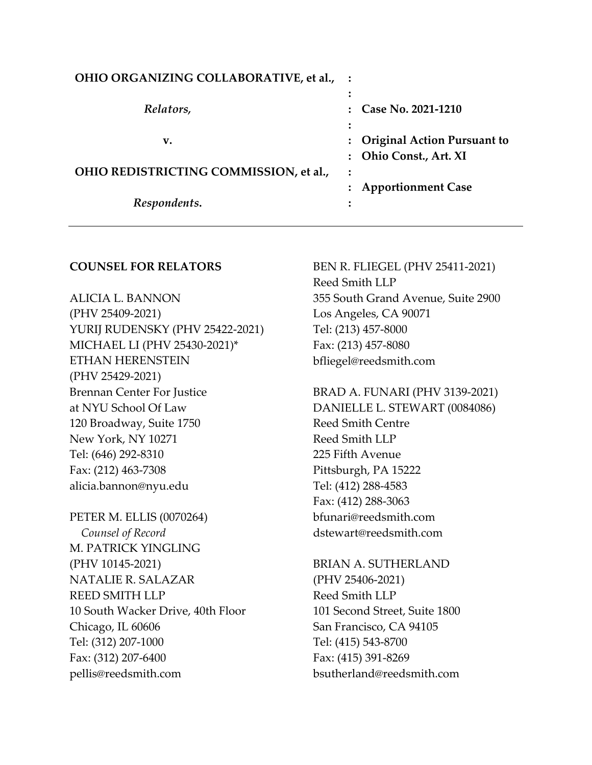| OHIO ORGANIZING COLLABORATIVE, et al., : |                               |
|------------------------------------------|-------------------------------|
|                                          |                               |
| Relators,                                | Case No. 2021-1210            |
|                                          |                               |
| v.                                       | : Original Action Pursuant to |
|                                          | : Ohio Const., Art. XI        |
| OHIO REDISTRICTING COMMISSION, et al.,   |                               |
|                                          | : Apportionment Case          |
| Respondents.                             |                               |

### **COUNSEL FOR RELATORS**

ALICIA L. BANNON (PHV 25409-2021) YURIJ RUDENSKY (PHV 25422-2021) MICHAEL LI (PHV 25430-2021)\* ETHAN HERENSTEIN (PHV 25429-2021) Brennan Center For Justice at NYU School Of Law 120 Broadway, Suite 1750 New York, NY 10271 Tel: (646) 292-8310 Fax: (212) 463-7308 alicia.bannon@nyu.edu

PETER M. ELLIS (0070264)  *Counsel of Record* M. PATRICK YINGLING (PHV 10145-2021) NATALIE R. SALAZAR REED SMITH LLP 10 South Wacker Drive, 40th Floor Chicago, IL 60606 Tel: (312) 207-1000 Fax: (312) 207-6400 pellis@reedsmith.com

BEN R. FLIEGEL (PHV 25411-2021) Reed Smith LLP 355 South Grand Avenue, Suite 2900 Los Angeles, CA 90071 Tel: (213) 457-8000 Fax: (213) 457-8080 bfliegel@reedsmith.com

BRAD A. FUNARI (PHV 3139-2021) DANIELLE L. STEWART (0084086) Reed Smith Centre Reed Smith LLP 225 Fifth Avenue Pittsburgh, PA 15222 Tel: (412) 288-4583 Fax: (412) 288-3063 bfunari@reedsmith.com dstewart@reedsmith.com

BRIAN A. SUTHERLAND (PHV 25406-2021) Reed Smith LLP 101 Second Street, Suite 1800 San Francisco, CA 94105 Tel: (415) 543-8700 Fax: (415) 391-8269 bsutherland@reedsmith.com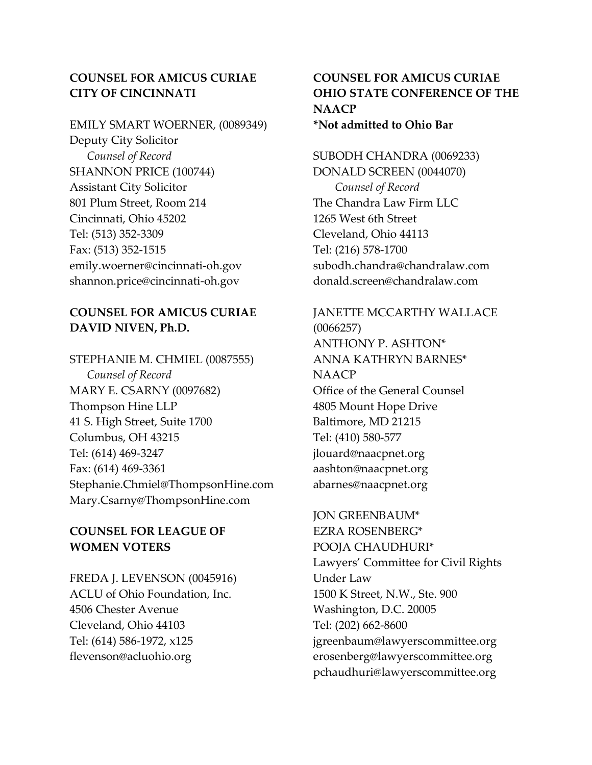## **COUNSEL FOR AMICUS CURIAE CITY OF CINCINNATI**

EMILY SMART WOERNER, (0089349) Deputy City Solicitor *Counsel of Record* SHANNON PRICE (100744) Assistant City Solicitor 801 Plum Street, Room 214 Cincinnati, Ohio 45202 Tel: (513) 352-3309 Fax: (513) 352-1515 emily.woerner@cincinnati-oh.gov shannon.price@cincinnati-oh.gov

## **COUNSEL FOR AMICUS CURIAE DAVID NIVEN, Ph.D.**

STEPHANIE M. CHMIEL (0087555) *Counsel of Record* MARY E. CSARNY (0097682) Thompson Hine LLP 41 S. High Street, Suite 1700 Columbus, OH 43215 Tel: (614) 469-3247 Fax: (614) 469-3361 Stephanie.Chmiel@ThompsonHine.com Mary.Csarny@ThompsonHine.com

## **COUNSEL FOR LEAGUE OF WOMEN VOTERS**

FREDA J. LEVENSON (0045916) ACLU of Ohio Foundation, Inc. 4506 Chester Avenue Cleveland, Ohio 44103 Tel: (614) 586-1972, x125 flevenson@acluohio.org

## **COUNSEL FOR AMICUS CURIAE OHIO STATE CONFERENCE OF THE NAACP \*Not admitted to Ohio Bar**

SUBODH CHANDRA (0069233) DONALD SCREEN (0044070) *Counsel of Record* The Chandra Law Firm LLC 1265 West 6th Street Cleveland, Ohio 44113 Tel: (216) 578-1700 subodh.chandra@chandralaw.com donald.screen@chandralaw.com

JANETTE MCCARTHY WALLACE (0066257) ANTHONY P. ASHTON\* ANNA KATHRYN BARNES\* NAACP Office of the General Counsel 4805 Mount Hope Drive Baltimore, MD 21215 Tel: (410) 580-577 jlouard@naacpnet.org aashton@naacpnet.org abarnes@naacpnet.org

# JON GREENBAUM\* EZRA ROSENBERG\* POOJA CHAUDHURI\* Lawyers' Committee for Civil Rights Under Law 1500 K Street, N.W., Ste. 900 Washington, D.C. 20005 Tel: (202) 662-8600 jgreenbaum@lawyerscommittee.org erosenberg@lawyerscommittee.org pchaudhuri@lawyerscommittee.org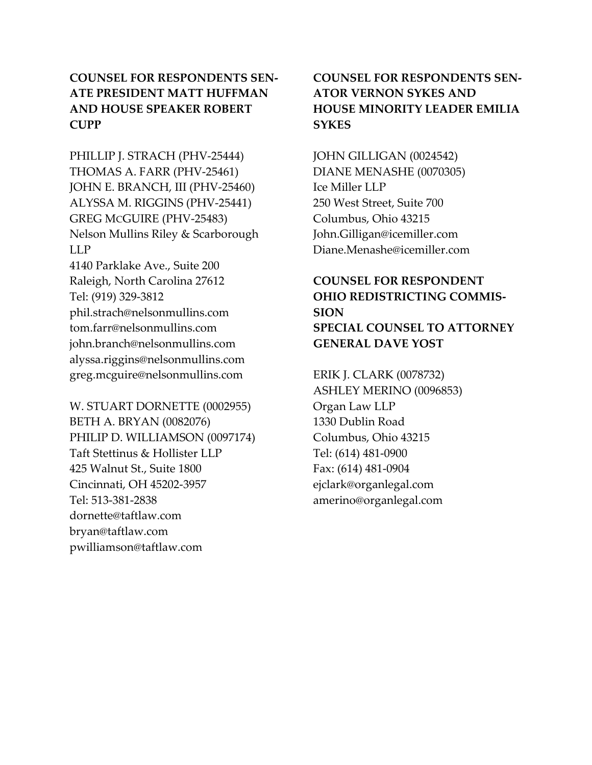# **COUNSEL FOR RESPONDENTS SEN-ATE PRESIDENT MATT HUFFMAN AND HOUSE SPEAKER ROBERT CUPP**

PHILLIP J. STRACH (PHV-25444) THOMAS A. FARR (PHV-25461) JOHN E. BRANCH, III (PHV-25460) ALYSSA M. RIGGINS (PHV-25441) GREG MCGUIRE (PHV-25483) Nelson Mullins Riley & Scarborough LLP 4140 Parklake Ave., Suite 200 Raleigh, North Carolina 27612 Tel: (919) 329-3812 phil.strach@nelsonmullins.com tom.farr@nelsonmullins.com john.branch@nelsonmullins.com alyssa.riggins@nelsonmullins.com greg.mcguire@nelsonmullins.com

W. STUART DORNETTE (0002955) BETH A. BRYAN (0082076) PHILIP D. WILLIAMSON (0097174) Taft Stettinus & Hollister LLP 425 Walnut St., Suite 1800 Cincinnati, OH 45202-3957 Tel: 513-381-2838 dornette@taftlaw.com bryan@taftlaw.com pwilliamson@taftlaw.com

# **COUNSEL FOR RESPONDENTS SEN-ATOR VERNON SYKES AND HOUSE MINORITY LEADER EMILIA SYKES**

JOHN GILLIGAN (0024542) DIANE MENASHE (0070305) Ice Miller LLP 250 West Street, Suite 700 Columbus, Ohio 43215 John.Gilligan@icemiller.com Diane.Menashe@icemiller.com

# **COUNSEL FOR RESPONDENT OHIO REDISTRICTING COMMIS-SION SPECIAL COUNSEL TO ATTORNEY GENERAL DAVE YOST**

ERIK J. CLARK (0078732) ASHLEY MERINO (0096853) Organ Law LLP 1330 Dublin Road Columbus, Ohio 43215 Tel: (614) 481-0900 Fax: (614) 481-0904 ejclark@organlegal.com amerino@organlegal.com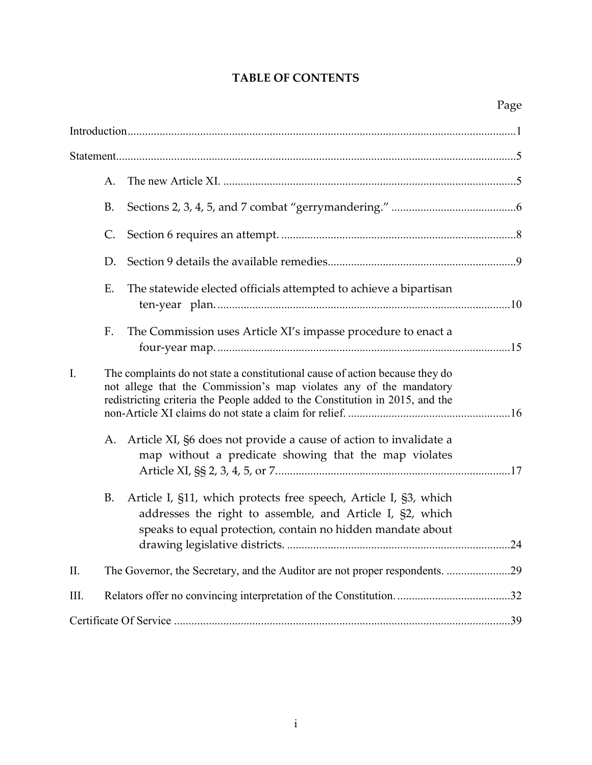# **TABLE OF CONTENTS**

|      | A. |                                                                                                                                                                                                                                    |
|------|----|------------------------------------------------------------------------------------------------------------------------------------------------------------------------------------------------------------------------------------|
|      | B. |                                                                                                                                                                                                                                    |
|      | C. |                                                                                                                                                                                                                                    |
|      | D. |                                                                                                                                                                                                                                    |
|      | Ε. | The statewide elected officials attempted to achieve a bipartisan                                                                                                                                                                  |
|      | F. | The Commission uses Article XI's impasse procedure to enact a                                                                                                                                                                      |
| I.   |    | The complaints do not state a constitutional cause of action because they do<br>not allege that the Commission's map violates any of the mandatory<br>redistricting criteria the People added to the Constitution in 2015, and the |
|      | А. | Article XI, §6 does not provide a cause of action to invalidate a<br>map without a predicate showing that the map violates                                                                                                         |
|      | B. | Article I, §11, which protects free speech, Article I, §3, which<br>addresses the right to assemble, and Article I, §2, which<br>speaks to equal protection, contain no hidden mandate about                                       |
| Π.   |    | The Governor, the Secretary, and the Auditor are not proper respondents. 29                                                                                                                                                        |
| III. |    |                                                                                                                                                                                                                                    |
|      |    |                                                                                                                                                                                                                                    |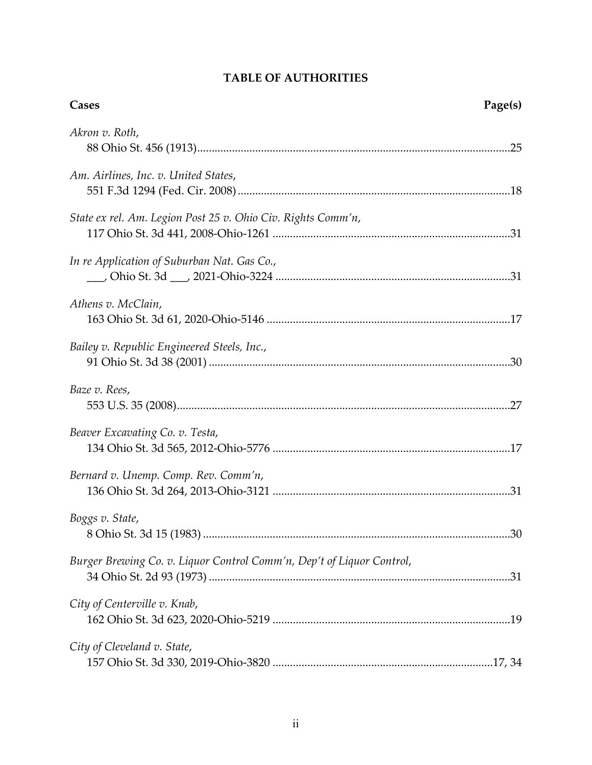| <b>TABLE OF AUTHORITIES</b> |
|-----------------------------|
|-----------------------------|

| Cases                                                                 | Page(s) |
|-----------------------------------------------------------------------|---------|
| Akron v. Roth,                                                        |         |
| Am. Airlines, Inc. v. United States,                                  |         |
| State ex rel. Am. Legion Post 25 v. Ohio Civ. Rights Comm'n,          |         |
| In re Application of Suburban Nat. Gas Co.,                           |         |
| Athens v. McClain,                                                    |         |
| Bailey v. Republic Engineered Steels, Inc.,                           |         |
| Baze v. Rees,                                                         |         |
| Beaver Excavating Co. v. Testa,                                       |         |
| Bernard v. Unemp. Comp. Rev. Comm'n,                                  |         |
| Boggs v. State,                                                       |         |
| Burger Brewing Co. v. Liquor Control Comm'n, Dep't of Liquor Control, |         |
| City of Centerville v. Knab,                                          |         |
| City of Cleveland v. State,                                           |         |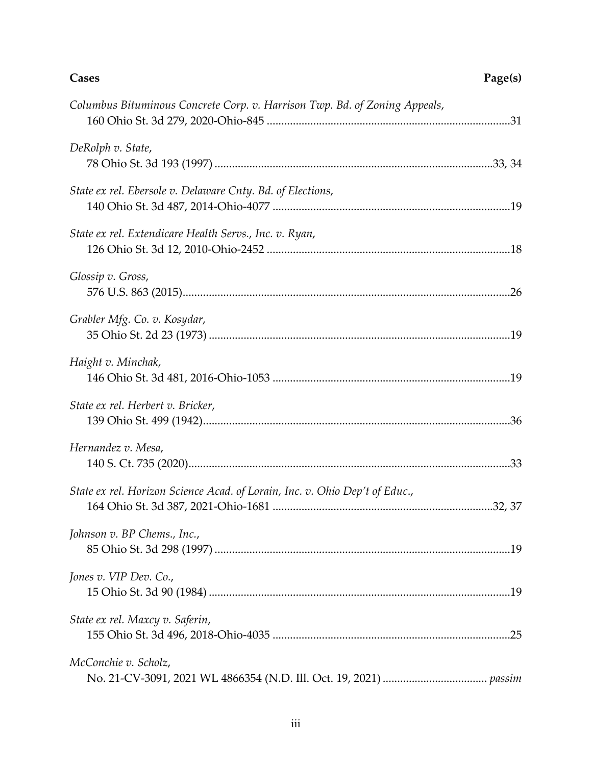| Columbus Bituminous Concrete Corp. v. Harrison Twp. Bd. of Zoning Appeals,  |  |
|-----------------------------------------------------------------------------|--|
| DeRolph v. State,                                                           |  |
| State ex rel. Ebersole v. Delaware Cnty. Bd. of Elections,                  |  |
| State ex rel. Extendicare Health Servs., Inc. v. Ryan,                      |  |
| Glossip v. Gross,                                                           |  |
| Grabler Mfg. Co. v. Kosydar,                                                |  |
| Haight v. Minchak,                                                          |  |
| State ex rel. Herbert v. Bricker,                                           |  |
| Hernandez v. Mesa,                                                          |  |
| State ex rel. Horizon Science Acad. of Lorain, Inc. v. Ohio Dep't of Educ., |  |
| Johnson v. BP Chems., Inc.,                                                 |  |
| Jones v. VIP Dev. Co.,                                                      |  |
| State ex rel. Maxcy v. Saferin,                                             |  |
| McConchie v. Scholz,                                                        |  |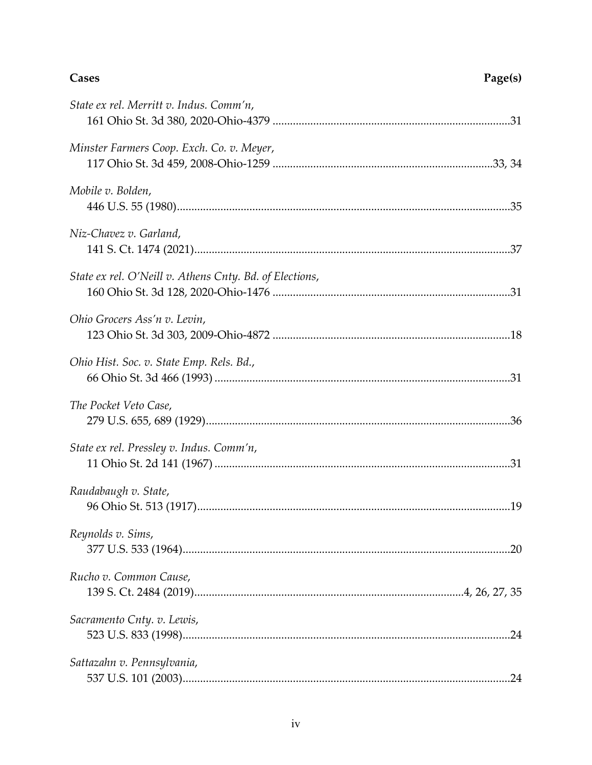## **Cases**

| Page(s) |
|---------|
|---------|

| State ex rel. Merritt v. Indus. Comm'n,                 |  |
|---------------------------------------------------------|--|
| Minster Farmers Coop. Exch. Co. v. Meyer,               |  |
| Mobile v. Bolden,                                       |  |
| Niz-Chavez v. Garland,                                  |  |
| State ex rel. O'Neill v. Athens Cnty. Bd. of Elections, |  |
| Ohio Grocers Ass'n v. Levin,                            |  |
| Ohio Hist. Soc. v. State Emp. Rels. Bd.,                |  |
| The Pocket Veto Case,                                   |  |
| State ex rel. Pressley v. Indus. Comm'n,                |  |
| Raudabaugh v. State,                                    |  |
| Reynolds v. Sims,                                       |  |
| Rucho v. Common Cause,                                  |  |
| Sacramento Cnty. v. Lewis,                              |  |
| Sattazahn v. Pennsylvania,                              |  |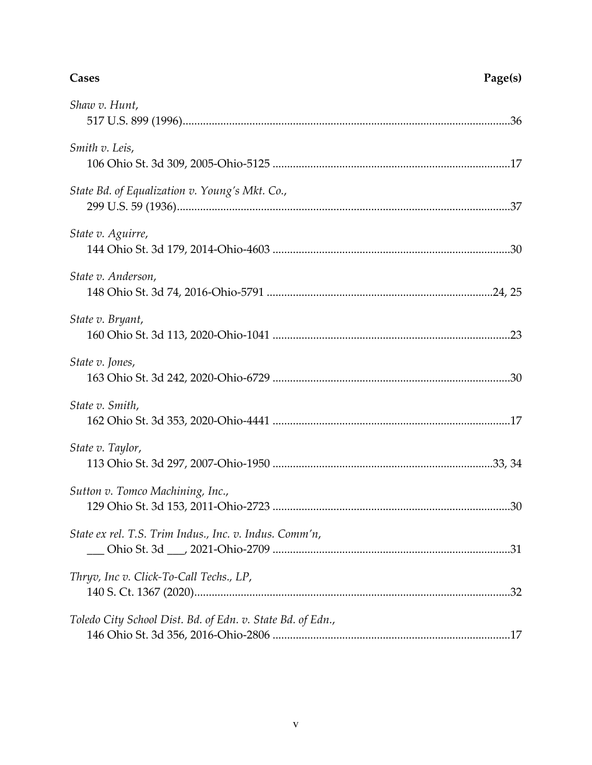| Shaw v. Hunt,                                              |
|------------------------------------------------------------|
| Smith v. Leis,                                             |
| State Bd. of Equalization v. Young's Mkt. Co.,             |
| State v. Aguirre,                                          |
| State v. Anderson,                                         |
| State v. Bryant,                                           |
| State v. Jones,                                            |
| State v. Smith,                                            |
| State v. Taylor,                                           |
| Sutton v. Tomco Machining, Inc.,                           |
| State ex rel. T.S. Trim Indus., Inc. v. Indus. Comm'n,     |
| Thryv, Inc v. Click-To-Call Techs., LP,                    |
| Toledo City School Dist. Bd. of Edn. v. State Bd. of Edn., |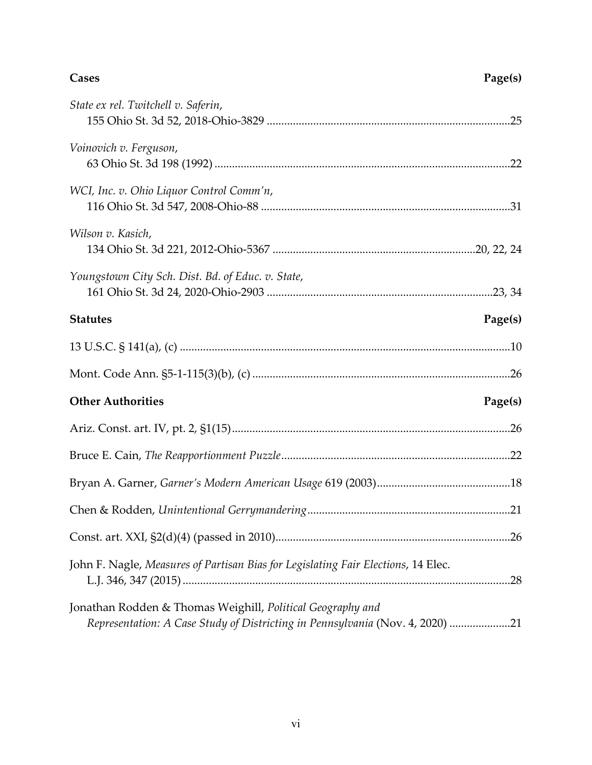| <b>Cases</b> | Page(s) |
|--------------|---------|
|              |         |

| State ex rel. Twitchell v. Saferin,                                                                                                         |         |
|---------------------------------------------------------------------------------------------------------------------------------------------|---------|
| Voinovich v. Ferguson,                                                                                                                      |         |
| WCI, Inc. v. Ohio Liquor Control Comm'n,                                                                                                    |         |
| Wilson v. Kasich,                                                                                                                           |         |
| Youngstown City Sch. Dist. Bd. of Educ. v. State,                                                                                           |         |
| <b>Statutes</b>                                                                                                                             | Page(s) |
|                                                                                                                                             |         |
|                                                                                                                                             |         |
| <b>Other Authorities</b>                                                                                                                    | Page(s) |
|                                                                                                                                             |         |
|                                                                                                                                             |         |
|                                                                                                                                             |         |
|                                                                                                                                             |         |
|                                                                                                                                             |         |
| John F. Nagle, Measures of Partisan Bias for Legislating Fair Elections, 14 Elec.                                                           |         |
| Jonathan Rodden & Thomas Weighill, Political Geography and<br>Representation: A Case Study of Districting in Pennsylvania (Nov. 4, 2020) 21 |         |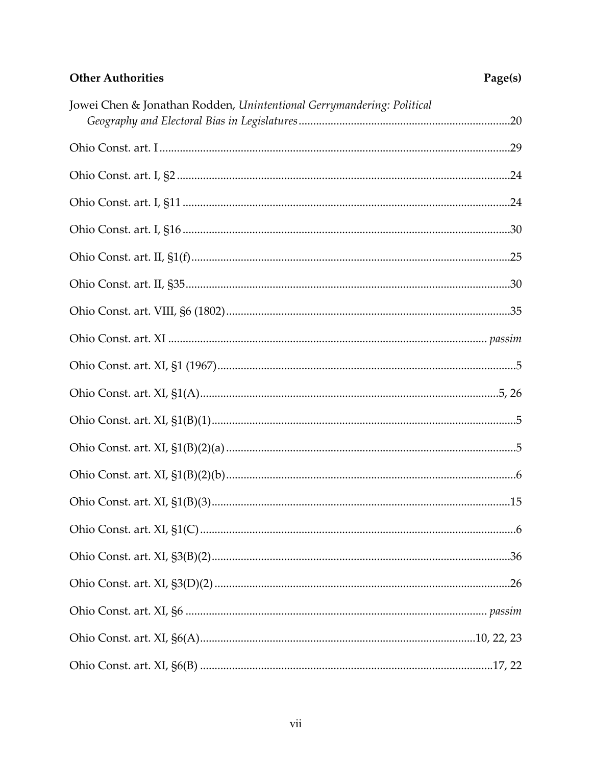# **Other Authorities**

| Jowei Chen & Jonathan Rodden, Unintentional Gerrymandering: Political |  |
|-----------------------------------------------------------------------|--|
|                                                                       |  |
|                                                                       |  |
|                                                                       |  |
|                                                                       |  |
|                                                                       |  |
|                                                                       |  |
|                                                                       |  |
|                                                                       |  |
|                                                                       |  |
|                                                                       |  |
|                                                                       |  |
|                                                                       |  |
|                                                                       |  |
|                                                                       |  |
|                                                                       |  |
|                                                                       |  |
|                                                                       |  |
|                                                                       |  |
|                                                                       |  |
|                                                                       |  |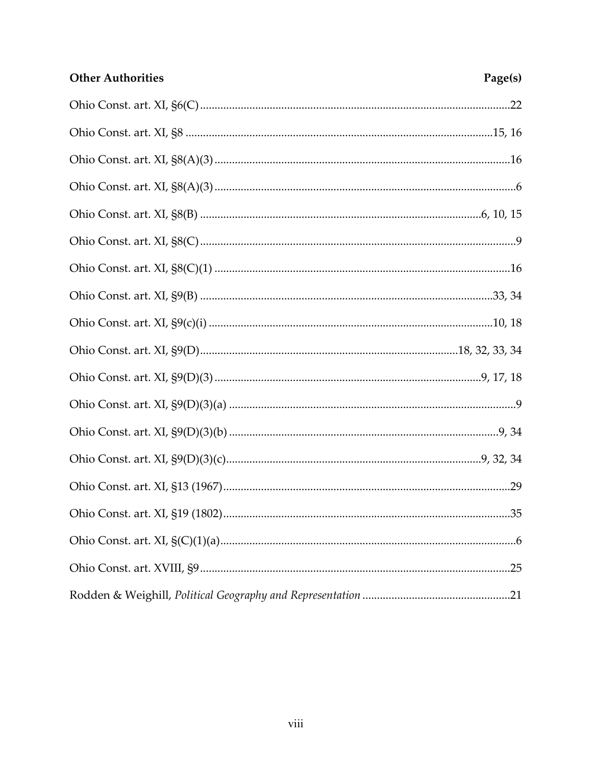| <b>Other Authorities</b> | Page(s) |
|--------------------------|---------|
|                          |         |
|                          |         |
|                          |         |
|                          |         |
|                          |         |
|                          |         |
|                          |         |
|                          |         |
|                          |         |
|                          |         |
|                          |         |
|                          |         |
|                          |         |
|                          |         |
|                          | .29     |
|                          |         |
|                          |         |
|                          |         |
|                          |         |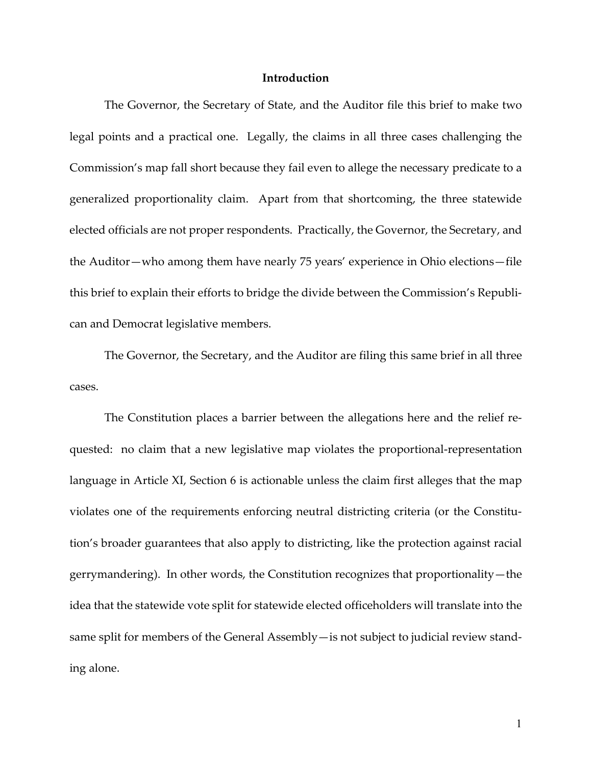### **Introduction**

<span id="page-19-0"></span>The Governor, the Secretary of State, and the Auditor file this brief to make two legal points and a practical one. Legally, the claims in all three cases challenging the Commission's map fall short because they fail even to allege the necessary predicate to a generalized proportionality claim. Apart from that shortcoming, the three statewide elected officials are not proper respondents. Practically, the Governor, the Secretary, and the Auditor—who among them have nearly 75 years' experience in Ohio elections—file this brief to explain their efforts to bridge the divide between the Commission's Republican and Democrat legislative members.

The Governor, the Secretary, and the Auditor are filing this same brief in all three cases.

<span id="page-19-1"></span>The Constitution places a barrier between the allegations here and the relief requested: no claim that a new legislative map violates the proportional-representation language in Article XI, Section 6 is actionable unless the claim first alleges that the map violates one of the requirements enforcing neutral districting criteria (or the Constitution's broader guarantees that also apply to districting, like the protection against racial gerrymandering). In other words, the Constitution recognizes that proportionality—the idea that the statewide vote split for statewide elected officeholders will translate into the same split for members of the General Assembly—is not subject to judicial review standing alone.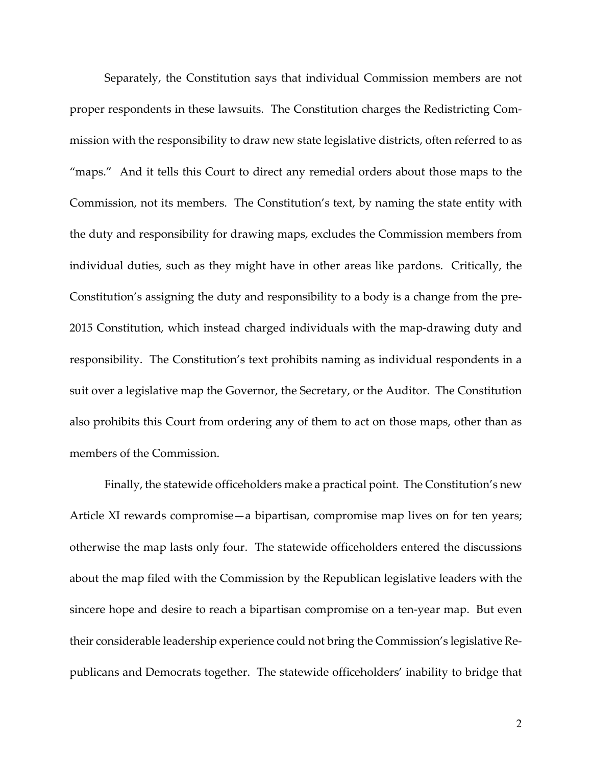Separately, the Constitution says that individual Commission members are not proper respondents in these lawsuits. The Constitution charges the Redistricting Commission with the responsibility to draw new state legislative districts, often referred to as "maps." And it tells this Court to direct any remedial orders about those maps to the Commission, not its members. The Constitution's text, by naming the state entity with the duty and responsibility for drawing maps, excludes the Commission members from individual duties, such as they might have in other areas like pardons. Critically, the Constitution's assigning the duty and responsibility to a body is a change from the pre-2015 Constitution, which instead charged individuals with the map-drawing duty and responsibility. The Constitution's text prohibits naming as individual respondents in a suit over a legislative map the Governor, the Secretary, or the Auditor. The Constitution also prohibits this Court from ordering any of them to act on those maps, other than as members of the Commission.

<span id="page-20-0"></span>Finally, the statewide officeholders make a practical point. The Constitution's new Article XI rewards compromise—a bipartisan, compromise map lives on for ten years; otherwise the map lasts only four. The statewide officeholders entered the discussions about the map filed with the Commission by the Republican legislative leaders with the sincere hope and desire to reach a bipartisan compromise on a ten-year map. But even their considerable leadership experience could not bring the Commission's legislative Republicans and Democrats together. The statewide officeholders' inability to bridge that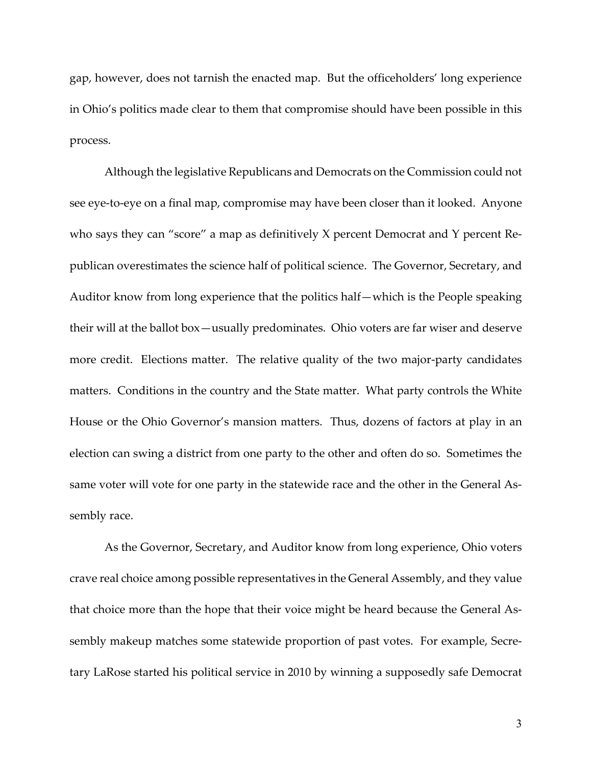gap, however, does not tarnish the enacted map. But the officeholders' long experience in Ohio's politics made clear to them that compromise should have been possible in this process.

Although the legislative Republicans and Democrats on the Commission could not see eye-to-eye on a final map, compromise may have been closer than it looked. Anyone who says they can "score" a map as definitively X percent Democrat and Y percent Republican overestimates the science half of political science. The Governor, Secretary, and Auditor know from long experience that the politics half—which is the People speaking their will at the ballot box—usually predominates. Ohio voters are far wiser and deserve more credit. Elections matter. The relative quality of the two major-party candidates matters. Conditions in the country and the State matter. What party controls the White House or the Ohio Governor's mansion matters. Thus, dozens of factors at play in an election can swing a district from one party to the other and often do so. Sometimes the same voter will vote for one party in the statewide race and the other in the General Assembly race.

As the Governor, Secretary, and Auditor know from long experience, Ohio voters crave real choice among possible representatives in the General Assembly, and they value that choice more than the hope that their voice might be heard because the General Assembly makeup matches some statewide proportion of past votes. For example, Secretary LaRose started his political service in 2010 by winning a supposedly safe Democrat

3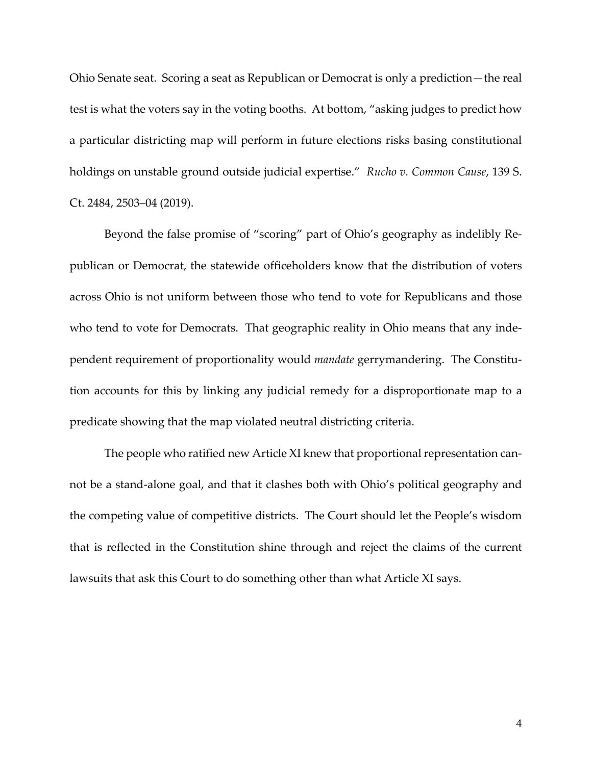Ohio Senate seat. Scoring a seat as Republican or Democrat is only a prediction—the real test is what the voters say in the voting booths. At bottom, "asking judges to predict how a particular districting map will perform in future elections risks basing constitutional holdings on unstable ground outside judicial expertise." *Rucho v. Common Cause*, 139 S. Ct. 2484, 2503–04 (2019).

<span id="page-22-0"></span>Beyond the false promise of "scoring" part of Ohio's geography as indelibly Republican or Democrat, the statewide officeholders know that the distribution of voters across Ohio is not uniform between those who tend to vote for Republicans and those who tend to vote for Democrats. That geographic reality in Ohio means that any independent requirement of proportionality would *mandate* gerrymandering. The Constitution accounts for this by linking any judicial remedy for a disproportionate map to a predicate showing that the map violated neutral districting criteria.

The people who ratified new Article XI knew that proportional representation cannot be a stand-alone goal, and that it clashes both with Ohio's political geography and the competing value of competitive districts. The Court should let the People's wisdom that is reflected in the Constitution shine through and reject the claims of the current lawsuits that ask this Court to do something other than what Article XI says.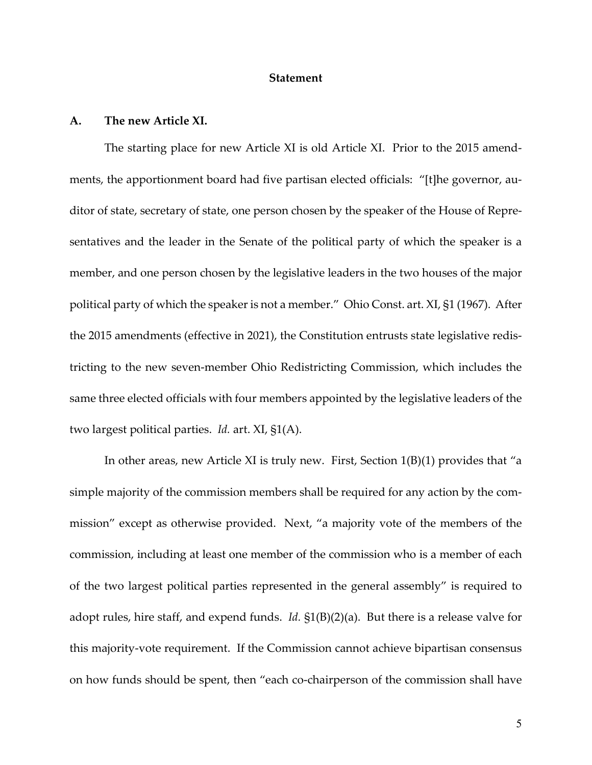### <span id="page-23-2"></span>**Statement**

### <span id="page-23-1"></span><span id="page-23-0"></span>**A. The new Article XI.**

The starting place for new Article XI is old Article XI. Prior to the 2015 amendments, the apportionment board had five partisan elected officials: "[t]he governor, auditor of state, secretary of state, one person chosen by the speaker of the House of Representatives and the leader in the Senate of the political party of which the speaker is a member, and one person chosen by the legislative leaders in the two houses of the major political party of which the speaker is not a member." Ohio Const. art. XI, §1 (1967). After the 2015 amendments (effective in 2021), the Constitution entrusts state legislative redistricting to the new seven-member Ohio Redistricting Commission, which includes the same three elected officials with four members appointed by the legislative leaders of the two largest political parties. *Id.* art. XI, §1(A).

<span id="page-23-5"></span><span id="page-23-4"></span><span id="page-23-3"></span>In other areas, new Article XI is truly new. First, Section 1(B)(1) provides that "a simple majority of the commission members shall be required for any action by the commission" except as otherwise provided. Next, "a majority vote of the members of the commission, including at least one member of the commission who is a member of each of the two largest political parties represented in the general assembly" is required to adopt rules, hire staff, and expend funds. *Id.* §1(B)(2)(a). But there is a release valve for this majority-vote requirement. If the Commission cannot achieve bipartisan consensus on how funds should be spent, then "each co-chairperson of the commission shall have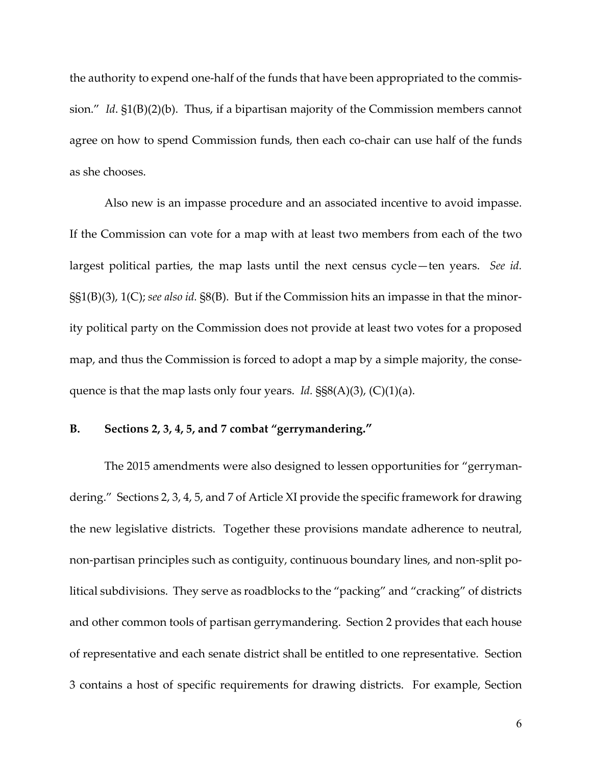<span id="page-24-1"></span>the authority to expend one-half of the funds that have been appropriated to the commission." *Id*. §1(B)(2)(b). Thus, if a bipartisan majority of the Commission members cannot agree on how to spend Commission funds, then each co-chair can use half of the funds as she chooses.

<span id="page-24-4"></span><span id="page-24-2"></span>Also new is an impasse procedure and an associated incentive to avoid impasse. If the Commission can vote for a map with at least two members from each of the two largest political parties, the map lasts until the next census cycle—ten years. *See id.* §§1(B)(3), 1(C); *see also id.* §8(B). But if the Commission hits an impasse in that the minority political party on the Commission does not provide at least two votes for a proposed map, and thus the Commission is forced to adopt a map by a simple majority, the consequence is that the map lasts only four years. *Id.*  $\S$ §8(A)(3), (C)(1)(a).

### <span id="page-24-5"></span><span id="page-24-3"></span><span id="page-24-0"></span>**B. Sections 2, 3, 4, 5, and 7 combat "gerrymandering."**

The 2015 amendments were also designed to lessen opportunities for "gerrymandering." Sections 2, 3, 4, 5, and 7 of Article XI provide the specific framework for drawing the new legislative districts. Together these provisions mandate adherence to neutral, non-partisan principles such as contiguity, continuous boundary lines, and non-split political subdivisions. They serve as roadblocks to the "packing" and "cracking" of districts and other common tools of partisan gerrymandering. Section 2 provides that each house of representative and each senate district shall be entitled to one representative. Section 3 contains a host of specific requirements for drawing districts. For example, Section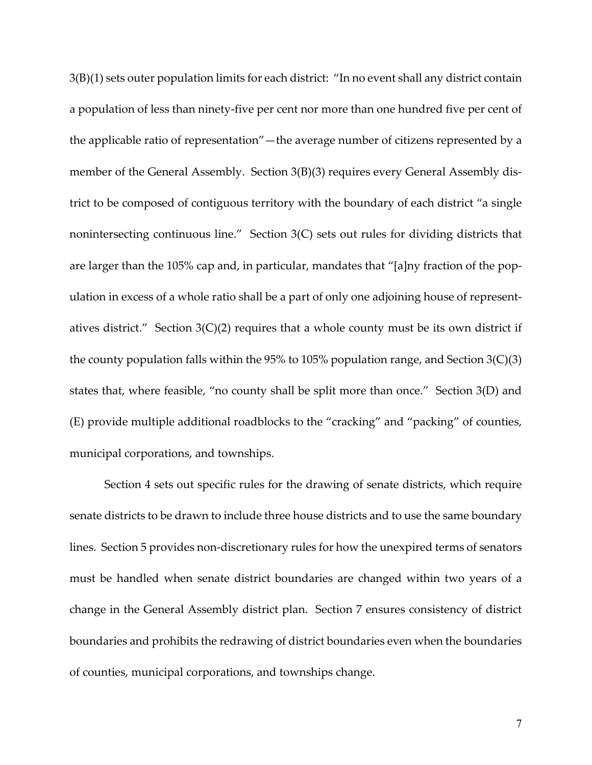3(B)(1) sets outer population limits for each district: "In no event shall any district contain a population of less than ninety-five per cent nor more than one hundred five per cent of the applicable ratio of representation"—the average number of citizens represented by a member of the General Assembly. Section 3(B)(3) requires every General Assembly district to be composed of contiguous territory with the boundary of each district "a single nonintersecting continuous line." Section 3(C) sets out rules for dividing districts that are larger than the 105% cap and, in particular, mandates that "[a]ny fraction of the population in excess of a whole ratio shall be a part of only one adjoining house of representatives district." Section  $3(C)(2)$  requires that a whole county must be its own district if the county population falls within the 95% to 105% population range, and Section 3(C)(3) states that, where feasible, "no county shall be split more than once." Section 3(D) and (E) provide multiple additional roadblocks to the "cracking" and "packing" of counties, municipal corporations, and townships.

Section 4 sets out specific rules for the drawing of senate districts, which require senate districts to be drawn to include three house districts and to use the same boundary lines. Section 5 provides non-discretionary rules for how the unexpired terms of senators must be handled when senate district boundaries are changed within two years of a change in the General Assembly district plan. Section 7 ensures consistency of district boundaries and prohibits the redrawing of district boundaries even when the boundaries of counties, municipal corporations, and townships change.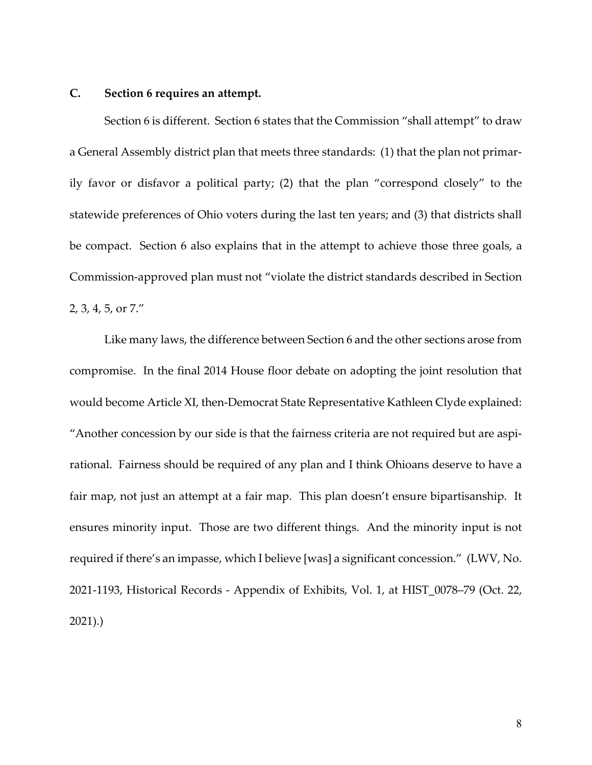### <span id="page-26-0"></span>**C. Section 6 requires an attempt.**

Section 6 is different. Section 6 states that the Commission "shall attempt" to draw a General Assembly district plan that meets three standards: (1) that the plan not primarily favor or disfavor a political party; (2) that the plan "correspond closely" to the statewide preferences of Ohio voters during the last ten years; and (3) that districts shall be compact. Section 6 also explains that in the attempt to achieve those three goals, a Commission-approved plan must not "violate the district standards described in Section 2, 3, 4, 5, or 7."

Like many laws, the difference between Section 6 and the other sections arose from compromise. In the final 2014 House floor debate on adopting the joint resolution that would become Article XI, then-Democrat State Representative Kathleen Clyde explained: "Another concession by our side is that the fairness criteria are not required but are aspirational. Fairness should be required of any plan and I think Ohioans deserve to have a fair map, not just an attempt at a fair map. This plan doesn't ensure bipartisanship. It ensures minority input. Those are two different things. And the minority input is not required if there's an impasse, which I believe [was] a significant concession." (LWV, No. 2021-1193, Historical Records - Appendix of Exhibits, Vol. 1, at HIST\_0078–79 (Oct. 22, 2021).)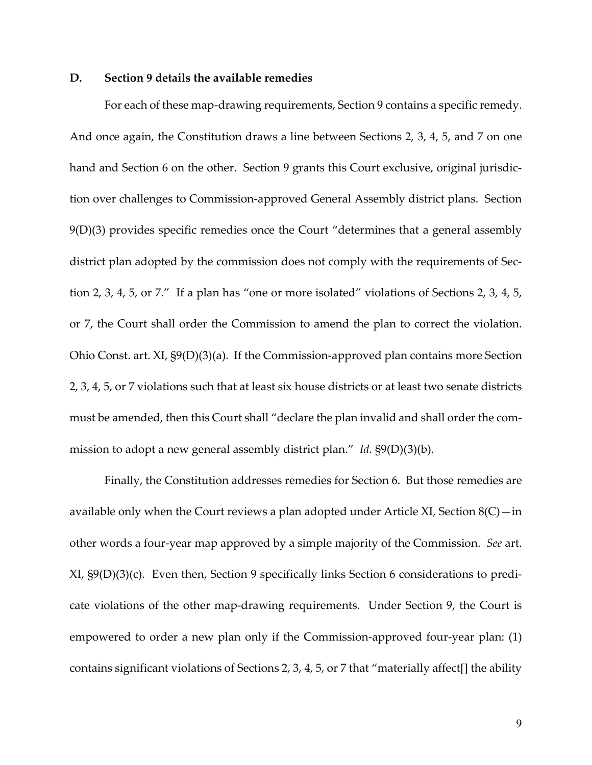### <span id="page-27-0"></span>**D. Section 9 details the available remedies**

<span id="page-27-2"></span>For each of these map-drawing requirements, Section 9 contains a specific remedy. And once again, the Constitution draws a line between Sections 2, 3, 4, 5, and 7 on one hand and Section 6 on the other. Section 9 grants this Court exclusive, original jurisdiction over challenges to Commission-approved General Assembly district plans. Section 9(D)(3) provides specific remedies once the Court "determines that a general assembly district plan adopted by the commission does not comply with the requirements of Section 2, 3, 4, 5, or 7." If a plan has "one or more isolated" violations of Sections 2, 3, 4, 5, or 7, the Court shall order the Commission to amend the plan to correct the violation. Ohio Const. art. XI, §9(D)(3)(a). If the Commission-approved plan contains more Section 2, 3, 4, 5, or 7 violations such that at least six house districts or at least two senate districts must be amended, then this Court shall "declare the plan invalid and shall order the commission to adopt a new general assembly district plan." *Id.* §9(D)(3)(b).

<span id="page-27-5"></span><span id="page-27-4"></span><span id="page-27-3"></span><span id="page-27-1"></span>Finally, the Constitution addresses remedies for Section 6. But those remedies are available only when the Court reviews a plan adopted under Article XI, Section  $8(C)$ —in other words a four-year map approved by a simple majority of the Commission. *See* art. XI, §9(D)(3)(c). Even then, Section 9 specifically links Section 6 considerations to predicate violations of the other map-drawing requirements. Under Section 9, the Court is empowered to order a new plan only if the Commission-approved four-year plan: (1) contains significant violations of Sections 2, 3, 4, 5, or 7 that "materially affect[] the ability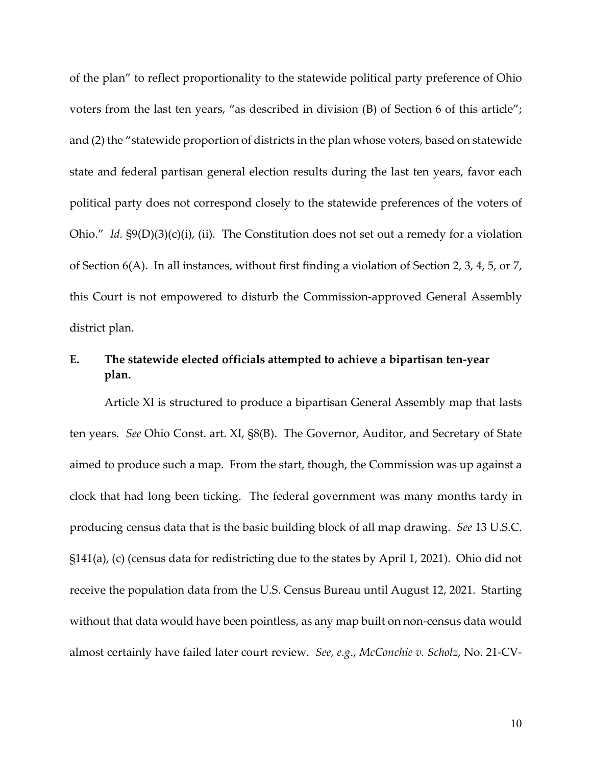of the plan" to reflect proportionality to the statewide political party preference of Ohio voters from the last ten years, "as described in division (B) of Section 6 of this article"; and (2) the "statewide proportion of districts in the plan whose voters, based on statewide state and federal partisan general election results during the last ten years, favor each political party does not correspond closely to the statewide preferences of the voters of Ohio." *Id.* §9(D)(3)(c)(i), (ii). The Constitution does not set out a remedy for a violation of Section 6(A). In all instances, without first finding a violation of Section 2, 3, 4, 5, or 7, this Court is not empowered to disturb the Commission-approved General Assembly district plan.

## <span id="page-28-5"></span><span id="page-28-3"></span><span id="page-28-0"></span>**E. The statewide elected officials attempted to achieve a bipartisan ten-year plan.**

<span id="page-28-4"></span><span id="page-28-2"></span><span id="page-28-1"></span>Article XI is structured to produce a bipartisan General Assembly map that lasts ten years. *See* Ohio Const. art. XI, §8(B). The Governor, Auditor, and Secretary of State aimed to produce such a map. From the start, though, the Commission was up against a clock that had long been ticking. The federal government was many months tardy in producing census data that is the basic building block of all map drawing. *See* 13 U.S.C. §141(a), (c) (census data for redistricting due to the states by April 1, 2021). Ohio did not receive the population data from the U.S. Census Bureau until August 12, 2021. Starting without that data would have been pointless, as any map built on non-census data would almost certainly have failed later court review. *See, e.g*., *McConchie v. Scholz*, No. 21-CV-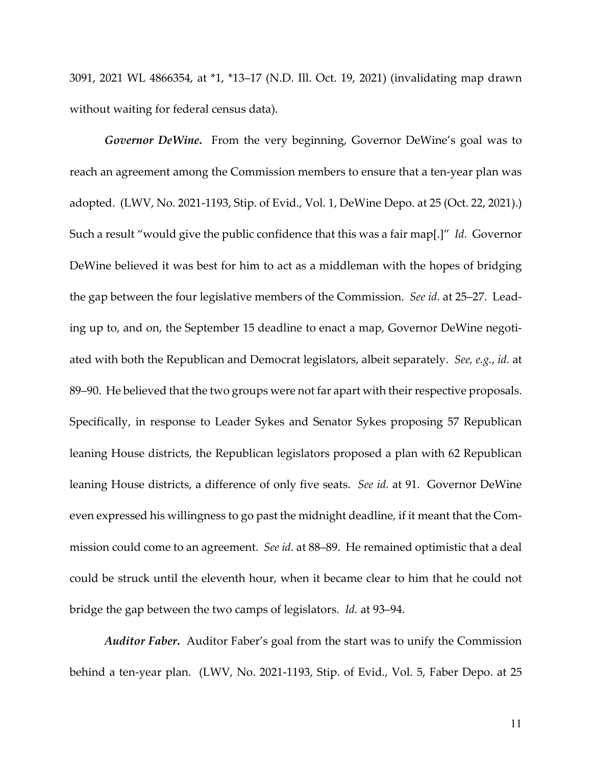3091, 2021 WL 4866354, at \*1, \*13–17 (N.D. Ill. Oct. 19, 2021) (invalidating map drawn without waiting for federal census data).

*Governor DeWine***.** From the very beginning, Governor DeWine's goal was to reach an agreement among the Commission members to ensure that a ten-year plan was adopted. (LWV, No. 2021-1193, Stip. of Evid., Vol. 1, DeWine Depo. at 25 (Oct. 22, 2021).) Such a result "would give the public confidence that this was a fair map[.]" *Id.* Governor DeWine believed it was best for him to act as a middleman with the hopes of bridging the gap between the four legislative members of the Commission. *See id.* at 25–27. Leading up to, and on, the September 15 deadline to enact a map, Governor DeWine negotiated with both the Republican and Democrat legislators, albeit separately. *See, e.g.*, *id.* at 89–90. He believed that the two groups were not far apart with their respective proposals. Specifically, in response to Leader Sykes and Senator Sykes proposing 57 Republican leaning House districts, the Republican legislators proposed a plan with 62 Republican leaning House districts, a difference of only five seats. *See id.* at 91. Governor DeWine even expressed his willingness to go past the midnight deadline, if it meant that the Commission could come to an agreement. *See id.* at 88–89. He remained optimistic that a deal could be struck until the eleventh hour, when it became clear to him that he could not bridge the gap between the two camps of legislators. *Id.* at 93–94.

*Auditor Faber***.** Auditor Faber's goal from the start was to unify the Commission behind a ten-year plan. (LWV, No. 2021-1193, Stip. of Evid., Vol. 5, Faber Depo. at 25

11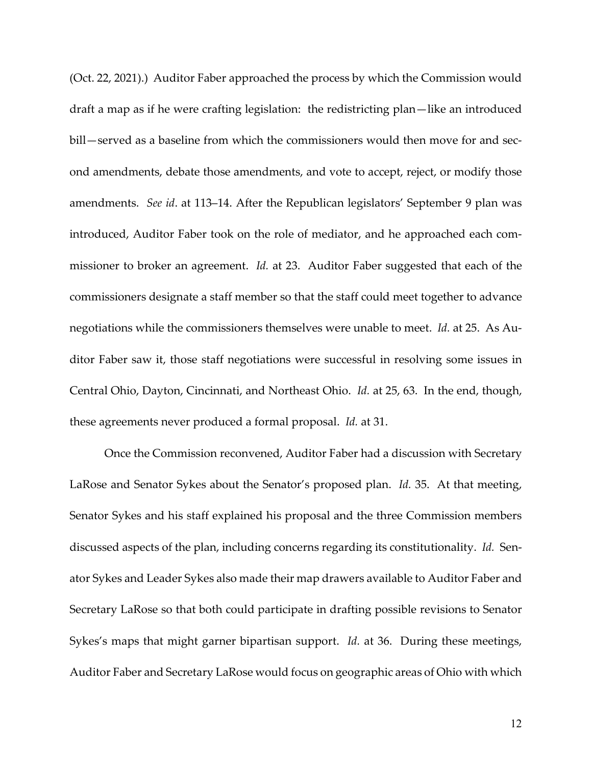(Oct. 22, 2021).) Auditor Faber approached the process by which the Commission would draft a map as if he were crafting legislation: the redistricting plan—like an introduced bill—served as a baseline from which the commissioners would then move for and second amendments, debate those amendments, and vote to accept, reject, or modify those amendments. *See id*. at 113–14. After the Republican legislators' September 9 plan was introduced, Auditor Faber took on the role of mediator, and he approached each commissioner to broker an agreement. *Id.* at 23. Auditor Faber suggested that each of the commissioners designate a staff member so that the staff could meet together to advance negotiations while the commissioners themselves were unable to meet. *Id.* at 25. As Auditor Faber saw it, those staff negotiations were successful in resolving some issues in Central Ohio, Dayton, Cincinnati, and Northeast Ohio. *Id.* at 25, 63. In the end, though, these agreements never produced a formal proposal. *Id.* at 31.

Once the Commission reconvened, Auditor Faber had a discussion with Secretary LaRose and Senator Sykes about the Senator's proposed plan. *Id.* 35. At that meeting, Senator Sykes and his staff explained his proposal and the three Commission members discussed aspects of the plan, including concerns regarding its constitutionality. *Id.* Senator Sykes and Leader Sykes also made their map drawers available to Auditor Faber and Secretary LaRose so that both could participate in drafting possible revisions to Senator Sykes's maps that might garner bipartisan support. *Id.* at 36. During these meetings, Auditor Faber and Secretary LaRose would focus on geographic areas of Ohio with which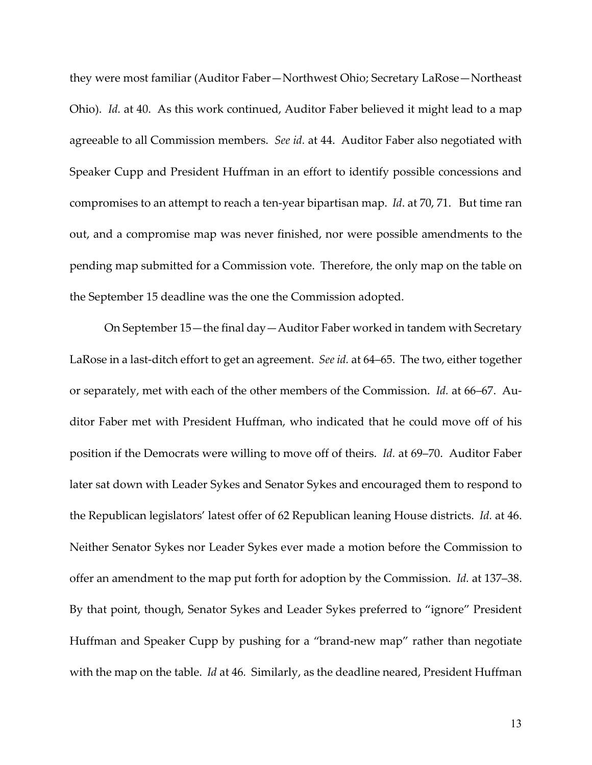they were most familiar (Auditor Faber—Northwest Ohio; Secretary LaRose—Northeast Ohio). *Id.* at 40. As this work continued, Auditor Faber believed it might lead to a map agreeable to all Commission members. *See id.* at 44. Auditor Faber also negotiated with Speaker Cupp and President Huffman in an effort to identify possible concessions and compromises to an attempt to reach a ten-year bipartisan map. *Id*. at 70, 71. But time ran out, and a compromise map was never finished, nor were possible amendments to the pending map submitted for a Commission vote. Therefore, the only map on the table on the September 15 deadline was the one the Commission adopted.

On September 15—the final day—Auditor Faber worked in tandem with Secretary LaRose in a last-ditch effort to get an agreement. *See id.* at 64–65. The two, either together or separately, met with each of the other members of the Commission. *Id.* at 66–67. Auditor Faber met with President Huffman, who indicated that he could move off of his position if the Democrats were willing to move off of theirs. *Id.* at 69–70. Auditor Faber later sat down with Leader Sykes and Senator Sykes and encouraged them to respond to the Republican legislators' latest offer of 62 Republican leaning House districts. *Id.* at 46. Neither Senator Sykes nor Leader Sykes ever made a motion before the Commission to offer an amendment to the map put forth for adoption by the Commission. *Id.* at 137–38. By that point, though, Senator Sykes and Leader Sykes preferred to "ignore" President Huffman and Speaker Cupp by pushing for a "brand-new map" rather than negotiate with the map on the table. *Id* at 46*.* Similarly, as the deadline neared, President Huffman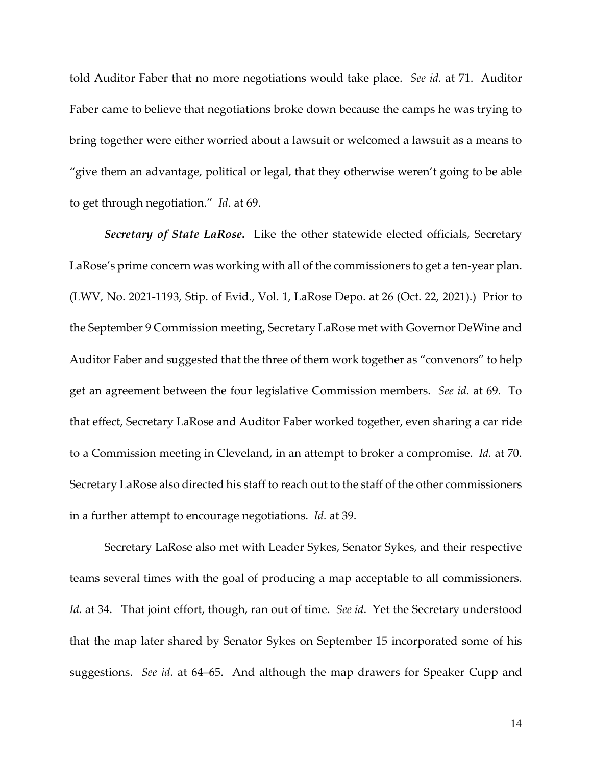told Auditor Faber that no more negotiations would take place. *See id.* at 71. Auditor Faber came to believe that negotiations broke down because the camps he was trying to bring together were either worried about a lawsuit or welcomed a lawsuit as a means to "give them an advantage, political or legal, that they otherwise weren't going to be able to get through negotiation." *Id*. at 69.

*Secretary of State LaRose***.** Like the other statewide elected officials, Secretary LaRose's prime concern was working with all of the commissioners to get a ten-year plan. (LWV, No. 2021-1193, Stip. of Evid., Vol. 1, LaRose Depo. at 26 (Oct. 22, 2021).) Prior to the September 9 Commission meeting, Secretary LaRose met with Governor DeWine and Auditor Faber and suggested that the three of them work together as "convenors" to help get an agreement between the four legislative Commission members. *See id.* at 69. To that effect, Secretary LaRose and Auditor Faber worked together, even sharing a car ride to a Commission meeting in Cleveland, in an attempt to broker a compromise. *Id.* at 70. Secretary LaRose also directed his staff to reach out to the staff of the other commissioners in a further attempt to encourage negotiations. *Id.* at 39.

Secretary LaRose also met with Leader Sykes, Senator Sykes, and their respective teams several times with the goal of producing a map acceptable to all commissioners. *Id.* at 34. That joint effort, though, ran out of time. *See id*. Yet the Secretary understood that the map later shared by Senator Sykes on September 15 incorporated some of his suggestions. *See id.* at 64–65. And although the map drawers for Speaker Cupp and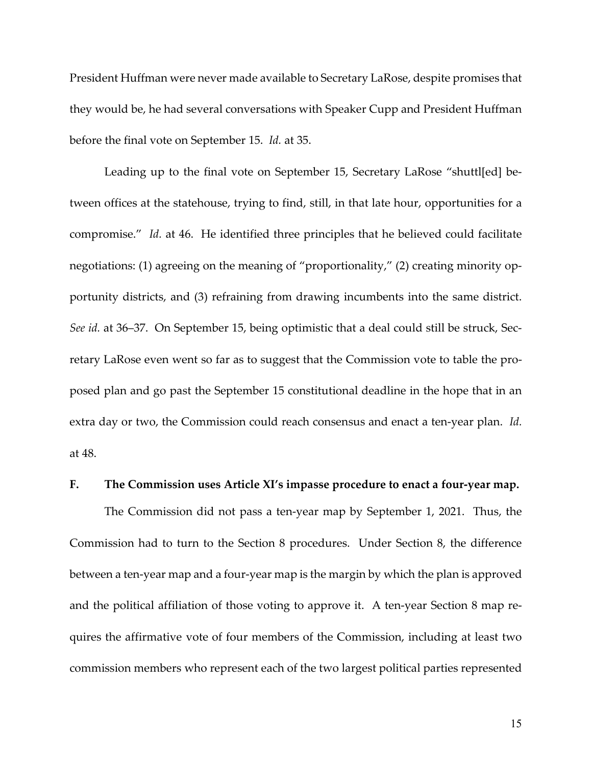President Huffman were never made available to Secretary LaRose, despite promises that they would be, he had several conversations with Speaker Cupp and President Huffman before the final vote on September 15. *Id.* at 35.

Leading up to the final vote on September 15, Secretary LaRose "shuttl[ed] between offices at the statehouse, trying to find, still, in that late hour, opportunities for a compromise." *Id.* at 46. He identified three principles that he believed could facilitate negotiations: (1) agreeing on the meaning of "proportionality," (2) creating minority opportunity districts, and (3) refraining from drawing incumbents into the same district. *See id.* at 36–37. On September 15, being optimistic that a deal could still be struck, Secretary LaRose even went so far as to suggest that the Commission vote to table the proposed plan and go past the September 15 constitutional deadline in the hope that in an extra day or two, the Commission could reach consensus and enact a ten-year plan. *Id.* at 48.

### <span id="page-33-0"></span>**F. The Commission uses Article XI's impasse procedure to enact a four-year map.**

<span id="page-33-1"></span>The Commission did not pass a ten-year map by September 1, 2021. Thus, the Commission had to turn to the Section 8 procedures. Under Section 8, the difference between a ten-year map and a four-year map is the margin by which the plan is approved and the political affiliation of those voting to approve it. A ten-year Section 8 map requires the affirmative vote of four members of the Commission, including at least two commission members who represent each of the two largest political parties represented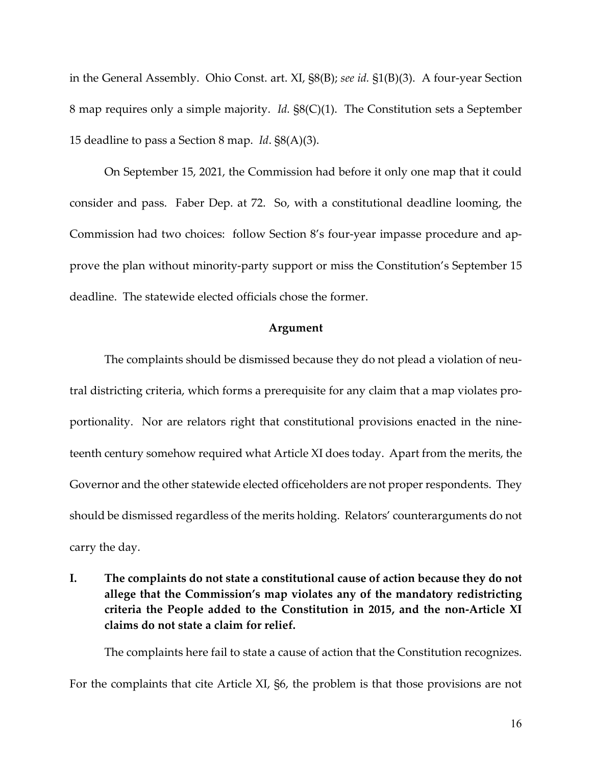<span id="page-34-5"></span><span id="page-34-4"></span>in the General Assembly. Ohio Const. art. XI, §8(B); *see id.* §1(B)(3). A four-year Section 8 map requires only a simple majority. *Id.* §8(C)(1). The Constitution sets a September 15 deadline to pass a Section 8 map. *Id*. §8(A)(3).

<span id="page-34-2"></span>On September 15, 2021, the Commission had before it only one map that it could consider and pass. Faber Dep. at 72. So, with a constitutional deadline looming, the Commission had two choices: follow Section 8's four-year impasse procedure and approve the plan without minority-party support or miss the Constitution's September 15 deadline. The statewide elected officials chose the former.

### <span id="page-34-3"></span><span id="page-34-1"></span>**Argument**

The complaints should be dismissed because they do not plead a violation of neutral districting criteria, which forms a prerequisite for any claim that a map violates proportionality. Nor are relators right that constitutional provisions enacted in the nineteenth century somehow required what Article XI does today. Apart from the merits, the Governor and the other statewide elected officeholders are not proper respondents. They should be dismissed regardless of the merits holding. Relators' counterarguments do not carry the day.

<span id="page-34-0"></span>**I. The complaints do not state a constitutional cause of action because they do not allege that the Commission's map violates any of the mandatory redistricting criteria the People added to the Constitution in 2015, and the non-Article XI claims do not state a claim for relief.** 

The complaints here fail to state a cause of action that the Constitution recognizes. For the complaints that cite Article XI, §6, the problem is that those provisions are not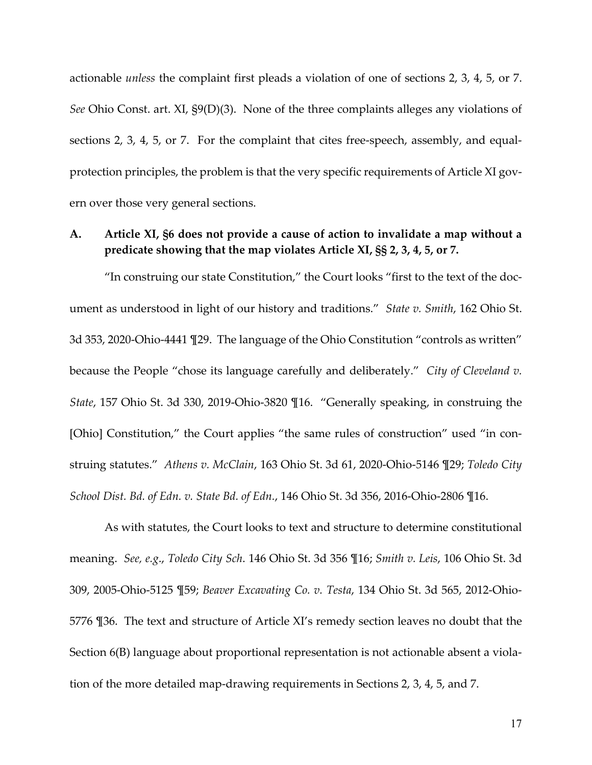<span id="page-35-8"></span>actionable *unless* the complaint first pleads a violation of one of sections 2, 3, 4, 5, or 7. *See* Ohio Const. art. XI, §9(D)(3). None of the three complaints alleges any violations of sections 2, 3, 4, 5, or 7. For the complaint that cites free-speech, assembly, and equalprotection principles, the problem is that the very specific requirements of Article XI govern over those very general sections.

## <span id="page-35-0"></span>**A. Article XI, §6 does not provide a cause of action to invalidate a map without a predicate showing that the map violates Article XI, §§ 2, 3, 4, 5, or 7.**

<span id="page-35-5"></span>"In construing our state Constitution," the Court looks "first to the text of the document as understood in light of our history and traditions." *State v. Smith*, 162 Ohio St. 3d 353, 2020-Ohio-4441 ¶29. The language of the Ohio Constitution "controls as written" because the People "chose its language carefully and deliberately." *City of Cleveland v. State*, 157 Ohio St. 3d 330, 2019-Ohio-3820 ¶16. "Generally speaking, in construing the [Ohio] Constitution," the Court applies "the same rules of construction" used "in construing statutes." *Athens v. McClain*, 163 Ohio St. 3d 61, 2020-Ohio-5146 ¶29; *Toledo City School Dist. Bd. of Edn. v. State Bd. of Edn.*, 146 Ohio St. 3d 356, 2016-Ohio-2806 ¶16.

<span id="page-35-7"></span><span id="page-35-2"></span><span id="page-35-1"></span>As with statutes, the Court looks to text and structure to determine constitutional meaning. *See, e.g*., *Toledo City Sch*. 146 Ohio St. 3d 356 ¶16; *Smith v. Leis*, 106 Ohio St. 3d 309, 2005-Ohio-5125 ¶59; *Beaver Excavating Co. v. Testa*, 134 Ohio St. 3d 565, 2012-Ohio-5776 ¶36. The text and structure of Article XI's remedy section leaves no doubt that the Section 6(B) language about proportional representation is not actionable absent a violation of the more detailed map-drawing requirements in Sections 2, 3, 4, 5, and 7.

<span id="page-35-6"></span><span id="page-35-4"></span><span id="page-35-3"></span>17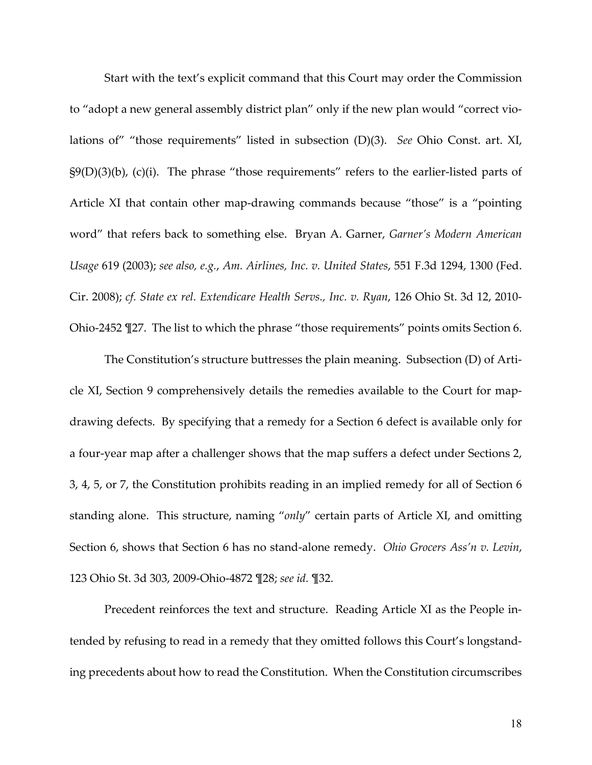<span id="page-36-6"></span><span id="page-36-4"></span>Start with the text's explicit command that this Court may order the Commission to "adopt a new general assembly district plan" only if the new plan would "correct violations of" "those requirements" listed in subsection (D)(3). *See* Ohio Const. art. XI,  $\S(9(D)(3)(b)$ , (c)(i). The phrase "those requirements" refers to the earlier-listed parts of Article XI that contain other map-drawing commands because "those" is a "pointing word" that refers back to something else. Bryan A. Garner, *Garner's Modern American Usage* 619 (2003); *see also, e.g.*, *Am. Airlines, Inc. v. United States*, 551 F.3d 1294, 1300 (Fed. Cir. 2008); *cf. State ex rel. Extendicare Health Servs., Inc. v. Ryan*, 126 Ohio St. 3d 12, 2010- Ohio-2452 ¶27. The list to which the phrase "those requirements" points omits Section 6.

<span id="page-36-5"></span><span id="page-36-3"></span><span id="page-36-1"></span><span id="page-36-0"></span>The Constitution's structure buttresses the plain meaning. Subsection (D) of Article XI, Section 9 comprehensively details the remedies available to the Court for mapdrawing defects. By specifying that a remedy for a Section 6 defect is available only for a four-year map after a challenger shows that the map suffers a defect under Sections 2, 3, 4, 5, or 7, the Constitution prohibits reading in an implied remedy for all of Section 6 standing alone. This structure, naming "*only*" certain parts of Article XI, and omitting Section 6, shows that Section 6 has no stand-alone remedy. *Ohio Grocers Ass'n v. Levin*, 123 Ohio St. 3d 303, 2009-Ohio-4872 ¶28; *see id.* ¶32.

<span id="page-36-2"></span>Precedent reinforces the text and structure. Reading Article XI as the People intended by refusing to read in a remedy that they omitted follows this Court's longstanding precedents about how to read the Constitution. When the Constitution circumscribes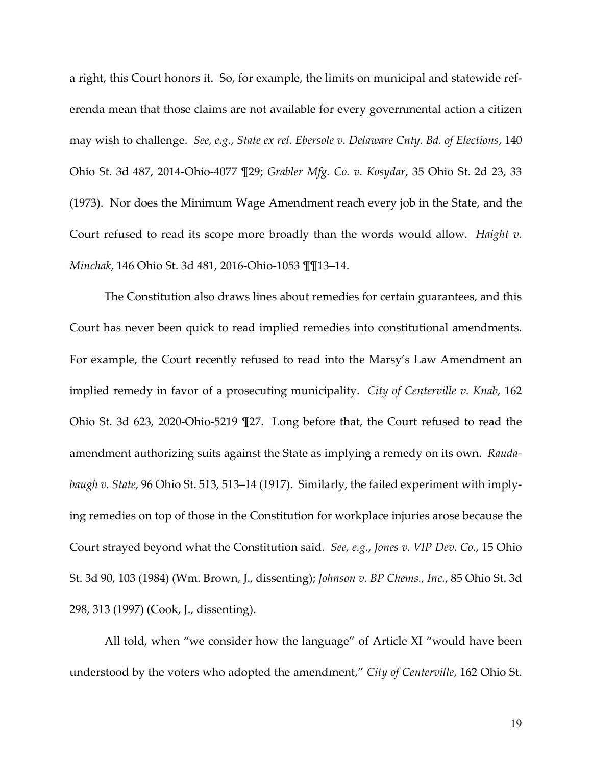<span id="page-37-2"></span><span id="page-37-1"></span>a right, this Court honors it. So, for example, the limits on municipal and statewide referenda mean that those claims are not available for every governmental action a citizen may wish to challenge. *See, e.g.*, *State ex rel. Ebersole v. Delaware Cnty. Bd. of Elections*, 140 Ohio St. 3d 487, 2014-Ohio-4077 ¶29; *Grabler Mfg. Co. v. Kosydar*, 35 Ohio St. 2d 23, 33 (1973). Nor does the Minimum Wage Amendment reach every job in the State, and the Court refused to read its scope more broadly than the words would allow. *Haight v. Minchak*, 146 Ohio St. 3d 481, 2016-Ohio-1053 ¶¶13–14.

<span id="page-37-6"></span><span id="page-37-3"></span><span id="page-37-0"></span>The Constitution also draws lines about remedies for certain guarantees, and this Court has never been quick to read implied remedies into constitutional amendments. For example, the Court recently refused to read into the Marsy's Law Amendment an implied remedy in favor of a prosecuting municipality. *City of Centerville v. Knab*, 162 Ohio St. 3d 623, 2020-Ohio-5219 ¶27. Long before that, the Court refused to read the amendment authorizing suits against the State as implying a remedy on its own. *Raudabaugh v. State*, 96 Ohio St. 513, 513–14 (1917). Similarly, the failed experiment with implying remedies on top of those in the Constitution for workplace injuries arose because the Court strayed beyond what the Constitution said. *See, e.g.*, *Jones v. VIP Dev. Co.*, 15 Ohio St. 3d 90, 103 (1984) (Wm. Brown, J., dissenting); *Johnson v. BP Chems., Inc.*, 85 Ohio St. 3d 298, 313 (1997) (Cook, J., dissenting).

<span id="page-37-5"></span><span id="page-37-4"></span>All told, when "we consider how the language" of Article XI "would have been understood by the voters who adopted the amendment," *City of Centerville*, 162 Ohio St.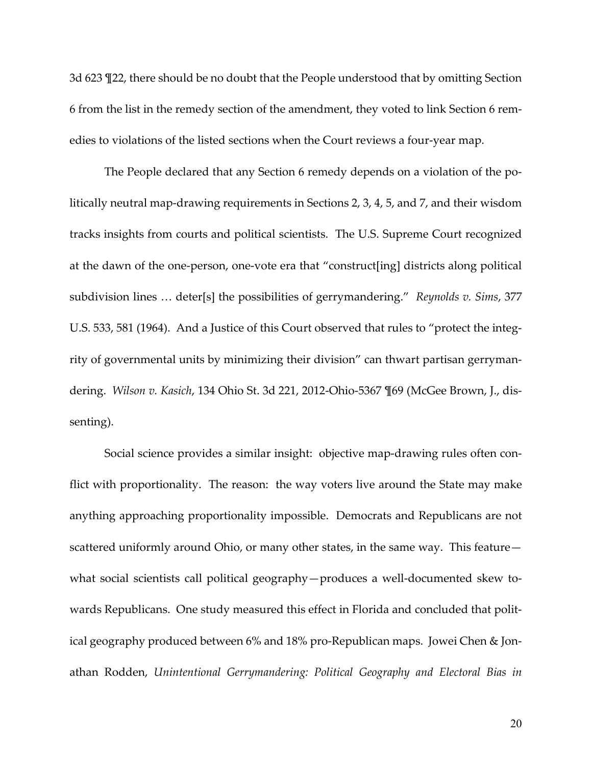3d 623 ¶22, there should be no doubt that the People understood that by omitting Section 6 from the list in the remedy section of the amendment, they voted to link Section 6 remedies to violations of the listed sections when the Court reviews a four-year map.

<span id="page-38-0"></span>The People declared that any Section 6 remedy depends on a violation of the politically neutral map-drawing requirements in Sections 2, 3, 4, 5, and 7, and their wisdom tracks insights from courts and political scientists. The U.S. Supreme Court recognized at the dawn of the one-person, one-vote era that "construct[ing] districts along political subdivision lines … deter[s] the possibilities of gerrymandering." *Reynolds v. Sims*, 377 U.S. 533, 581 (1964). And a Justice of this Court observed that rules to "protect the integrity of governmental units by minimizing their division" can thwart partisan gerrymandering. *Wilson v. Kasich*, 134 Ohio St. 3d 221, 2012-Ohio-5367 ¶69 (McGee Brown, J., dissenting).

<span id="page-38-2"></span><span id="page-38-1"></span>Social science provides a similar insight: objective map-drawing rules often conflict with proportionality. The reason: the way voters live around the State may make anything approaching proportionality impossible. Democrats and Republicans are not scattered uniformly around Ohio, or many other states, in the same way. This feature what social scientists call political geography—produces a well-documented skew towards Republicans. One study measured this effect in Florida and concluded that political geography produced between 6% and 18% pro-Republican maps. Jowei Chen & Jonathan Rodden, *Unintentional Gerrymandering: Political Geography and Electoral Bias in*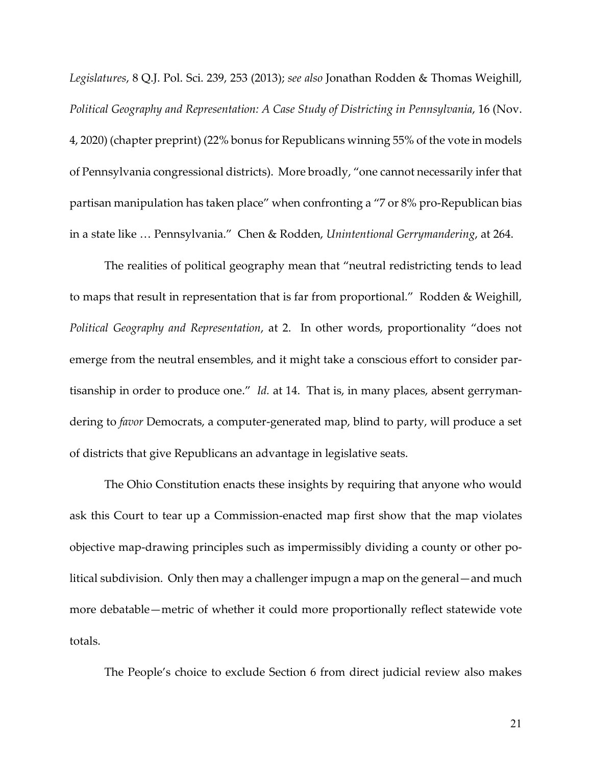<span id="page-39-1"></span>*Legislatures*, 8 Q.J. Pol. Sci. 239, 253 (2013); *see also* Jonathan Rodden & Thomas Weighill, *Political Geography and Representation: A Case Study of Districting in Pennsylvania*, 16 (Nov. 4, 2020) (chapter preprint) (22% bonus for Republicans winning 55% of the vote in models of Pennsylvania congressional districts). More broadly, "one cannot necessarily infer that partisan manipulation has taken place" when confronting a "7 or 8% pro-Republican bias in a state like … Pennsylvania." Chen & Rodden, *Unintentional Gerrymandering*, at 264.

<span id="page-39-2"></span><span id="page-39-0"></span>The realities of political geography mean that "neutral redistricting tends to lead to maps that result in representation that is far from proportional." Rodden & Weighill, *Political Geography and Representation*, at 2. In other words, proportionality "does not emerge from the neutral ensembles, and it might take a conscious effort to consider partisanship in order to produce one." *Id.* at 14. That is, in many places, absent gerrymandering to *favor* Democrats, a computer-generated map, blind to party, will produce a set of districts that give Republicans an advantage in legislative seats.

The Ohio Constitution enacts these insights by requiring that anyone who would ask this Court to tear up a Commission-enacted map first show that the map violates objective map-drawing principles such as impermissibly dividing a county or other political subdivision. Only then may a challenger impugn a map on the general—and much more debatable—metric of whether it could more proportionally reflect statewide vote totals.

The People's choice to exclude Section 6 from direct judicial review also makes

21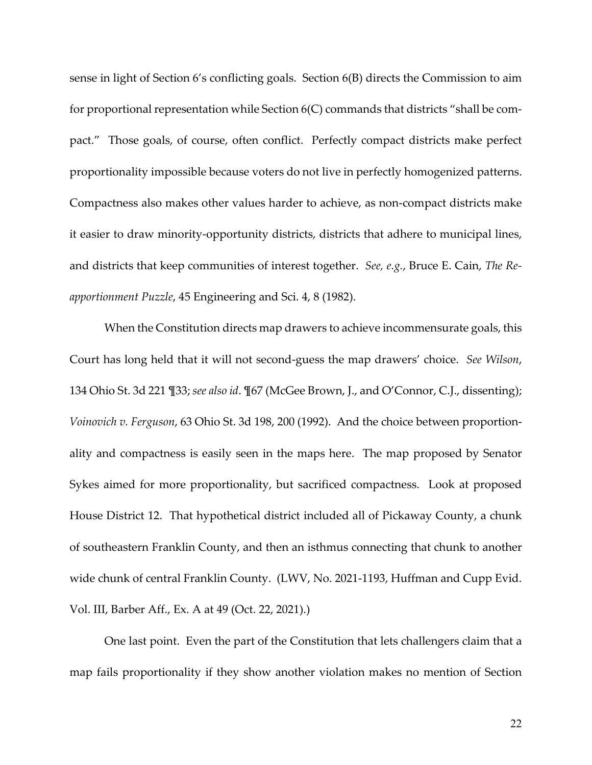<span id="page-40-5"></span><span id="page-40-4"></span>sense in light of Section 6's conflicting goals. Section 6(B) directs the Commission to aim for proportional representation while Section 6(C) commands that districts "shall be compact." Those goals, of course, often conflict. Perfectly compact districts make perfect proportionality impossible because voters do not live in perfectly homogenized patterns. Compactness also makes other values harder to achieve, as non-compact districts make it easier to draw minority-opportunity districts, districts that adhere to municipal lines, and districts that keep communities of interest together. *See, e.g.*, Bruce E. Cain, *The Reapportionment Puzzle*, 45 Engineering and Sci. 4, 8 (1982).

<span id="page-40-2"></span><span id="page-40-1"></span><span id="page-40-0"></span>When the Constitution directs map drawers to achieve incommensurate goals, this Court has long held that it will not second-guess the map drawers' choice. *See Wilson*, 134 Ohio St. 3d 221 ¶33; *see also id*. ¶67 (McGee Brown, J., and O'Connor, C.J., dissenting); *Voinovich v. Ferguson*, 63 Ohio St. 3d 198, 200 (1992). And the choice between proportionality and compactness is easily seen in the maps here. The map proposed by Senator Sykes aimed for more proportionality, but sacrificed compactness. Look at proposed House District 12. That hypothetical district included all of Pickaway County, a chunk of southeastern Franklin County, and then an isthmus connecting that chunk to another wide chunk of central Franklin County. (LWV, No. 2021-1193, Huffman and Cupp Evid. Vol. III, Barber Aff., Ex. A at 49 (Oct. 22, 2021).)

<span id="page-40-3"></span>One last point. Even the part of the Constitution that lets challengers claim that a map fails proportionality if they show another violation makes no mention of Section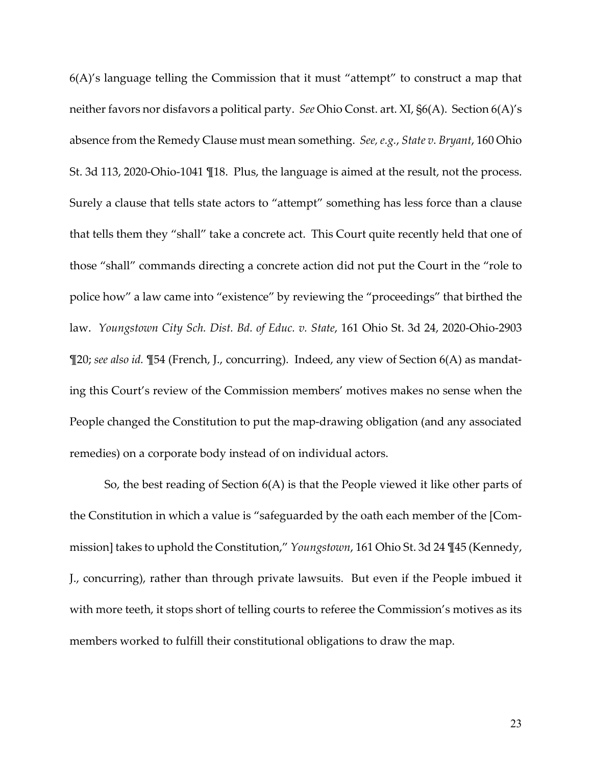<span id="page-41-2"></span><span id="page-41-0"></span>6(A)'s language telling the Commission that it must "attempt" to construct a map that neither favors nor disfavors a political party. *See* Ohio Const. art. XI, §6(A). Section 6(A)'s absence from the Remedy Clause must mean something. *See, e.g.*, *State v. Bryant*, 160 Ohio St. 3d 113, 2020-Ohio-1041 ¶18. Plus, the language is aimed at the result, not the process. Surely a clause that tells state actors to "attempt" something has less force than a clause that tells them they "shall" take a concrete act. This Court quite recently held that one of those "shall" commands directing a concrete action did not put the Court in the "role to police how" a law came into "existence" by reviewing the "proceedings" that birthed the law. *Youngstown City Sch. Dist. Bd. of Educ. v. State*, 161 Ohio St. 3d 24, 2020-Ohio-2903 ¶20; *see also id.* ¶54 (French, J., concurring). Indeed, any view of Section 6(A) as mandating this Court's review of the Commission members' motives makes no sense when the People changed the Constitution to put the map-drawing obligation (and any associated remedies) on a corporate body instead of on individual actors.

<span id="page-41-1"></span>So, the best reading of Section 6(A) is that the People viewed it like other parts of the Constitution in which a value is "safeguarded by the oath each member of the [Commission] takes to uphold the Constitution," *Youngstown*, 161 Ohio St. 3d 24 ¶45 (Kennedy, J., concurring), rather than through private lawsuits. But even if the People imbued it with more teeth, it stops short of telling courts to referee the Commission's motives as its members worked to fulfill their constitutional obligations to draw the map.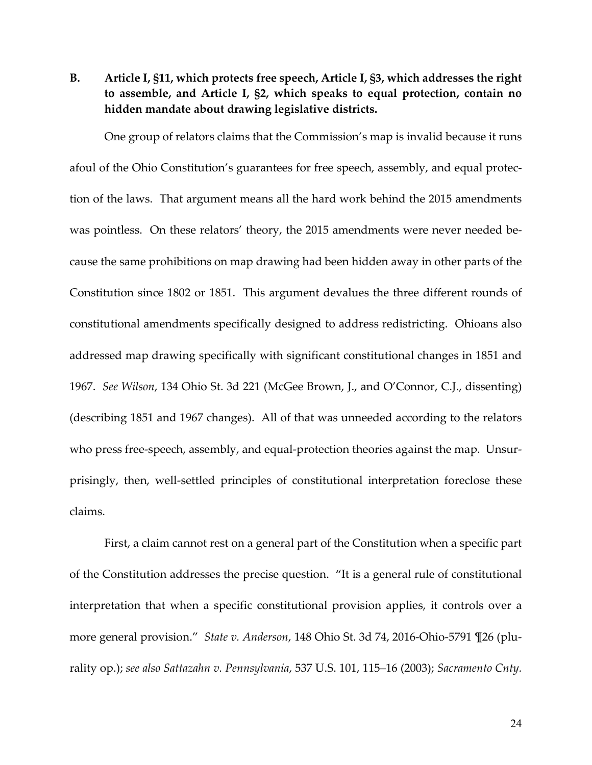<span id="page-42-6"></span><span id="page-42-5"></span><span id="page-42-0"></span>**B. Article I, §11, which protects free speech, Article I, §3, which addresses the right to assemble, and Article I, §2, which speaks to equal protection, contain no hidden mandate about drawing legislative districts.** 

One group of relators claims that the Commission's map is invalid because it runs afoul of the Ohio Constitution's guarantees for free speech, assembly, and equal protection of the laws. That argument means all the hard work behind the 2015 amendments was pointless. On these relators' theory, the 2015 amendments were never needed because the same prohibitions on map drawing had been hidden away in other parts of the Constitution since 1802 or 1851. This argument devalues the three different rounds of constitutional amendments specifically designed to address redistricting. Ohioans also addressed map drawing specifically with significant constitutional changes in 1851 and 1967. *See Wilson*, 134 Ohio St. 3d 221 (McGee Brown, J., and O'Connor, C.J., dissenting) (describing 1851 and 1967 changes).All of that was unneeded according to the relators who press free-speech, assembly, and equal-protection theories against the map. Unsurprisingly, then, well-settled principles of constitutional interpretation foreclose these claims.

<span id="page-42-4"></span><span id="page-42-3"></span><span id="page-42-2"></span><span id="page-42-1"></span>First, a claim cannot rest on a general part of the Constitution when a specific part of the Constitution addresses the precise question. "It is a general rule of constitutional interpretation that when a specific constitutional provision applies, it controls over a more general provision." *State v. Anderson*, 148 Ohio St. 3d 74, 2016-Ohio-5791 ¶26 (plurality op.); *see also Sattazahn v. Pennsylvania*, 537 U.S. 101, 115–16 (2003); *Sacramento Cnty.*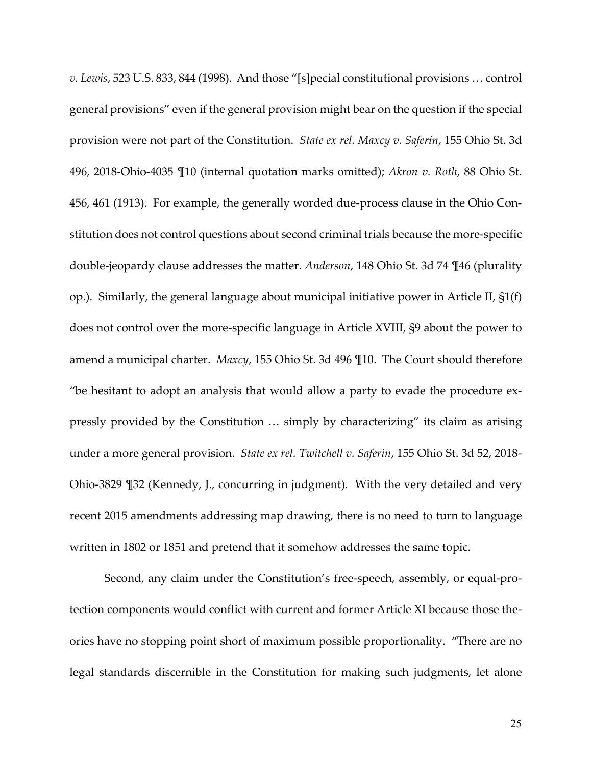<span id="page-43-5"></span><span id="page-43-4"></span><span id="page-43-2"></span><span id="page-43-1"></span><span id="page-43-0"></span>*v. Lewis*, 523 U.S. 833, 844 (1998). And those "[s]pecial constitutional provisions … control general provisions" even if the general provision might bear on the question if the special provision were not part of the Constitution. *State ex rel. Maxcy v. Saferin*, 155 Ohio St. 3d 496, 2018-Ohio-4035 ¶10 (internal quotation marks omitted); *Akron v. Roth*, 88 Ohio St. 456, 461 (1913). For example, the generally worded due-process clause in the Ohio Constitution does not control questions about second criminal trials because the more-specific double-jeopardy clause addresses the matter. *Anderson*, 148 Ohio St. 3d 74 ¶46 (plurality op.). Similarly, the general language about municipal initiative power in Article II, §1(f) does not control over the more-specific language in Article XVIII, §9 about the power to amend a municipal charter. *Maxcy*, 155 Ohio St. 3d 496 ¶10. The Court should therefore "be hesitant to adopt an analysis that would allow a party to evade the procedure expressly provided by the Constitution … simply by characterizing" its claim as arising under a more general provision. *State ex rel. Twitchell v. Saferin*, 155 Ohio St. 3d 52, 2018- Ohio-3829 ¶32 (Kennedy, J., concurring in judgment). With the very detailed and very recent 2015 amendments addressing map drawing, there is no need to turn to language written in 1802 or 1851 and pretend that it somehow addresses the same topic.

<span id="page-43-3"></span>Second, any claim under the Constitution's free-speech, assembly, or equal-protection components would conflict with current and former Article XI because those theories have no stopping point short of maximum possible proportionality. "There are no legal standards discernible in the Constitution for making such judgments, let alone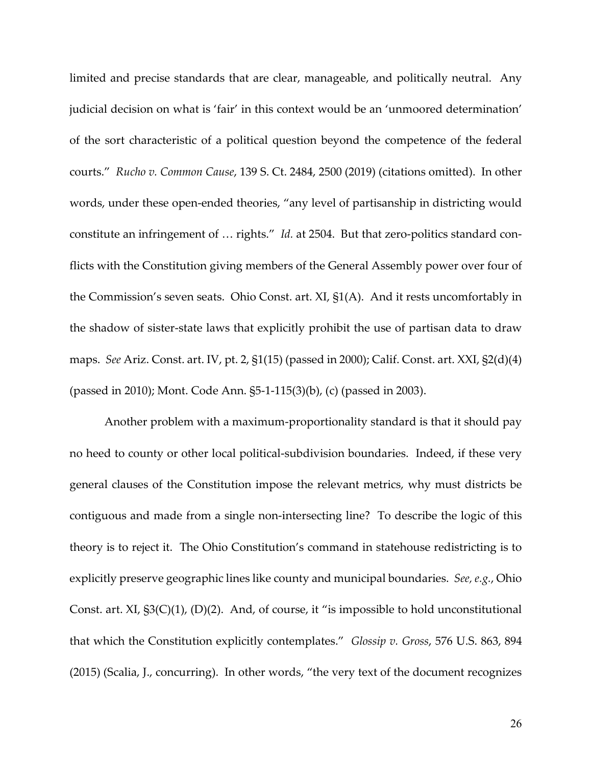<span id="page-44-1"></span>limited and precise standards that are clear, manageable, and politically neutral. Any judicial decision on what is 'fair' in this context would be an 'unmoored determination' of the sort characteristic of a political question beyond the competence of the federal courts." *Rucho v. Common Cause*, 139 S. Ct. 2484, 2500 (2019) (citations omitted). In other words, under these open-ended theories, "any level of partisanship in districting would constitute an infringement of … rights." *Id.* at 2504. But that zero-politics standard conflicts with the Constitution giving members of the General Assembly power over four of the Commission's seven seats. Ohio Const. art. XI, §1(A). And it rests uncomfortably in the shadow of sister-state laws that explicitly prohibit the use of partisan data to draw maps. *See* Ariz. Const. art. IV, pt. 2, §1(15) (passed in 2000); Calif. Const. art. XXI, §2(d)(4) (passed in 2010); Mont. Code Ann. §5-1-115(3)(b), (c) (passed in 2003).

<span id="page-44-6"></span><span id="page-44-5"></span><span id="page-44-4"></span><span id="page-44-3"></span><span id="page-44-2"></span><span id="page-44-0"></span>Another problem with a maximum-proportionality standard is that it should pay no heed to county or other local political-subdivision boundaries. Indeed, if these very general clauses of the Constitution impose the relevant metrics, why must districts be contiguous and made from a single non-intersecting line? To describe the logic of this theory is to reject it. The Ohio Constitution's command in statehouse redistricting is to explicitly preserve geographic lines like county and municipal boundaries. *See, e.g.*, Ohio Const. art. XI, §3(C)(1), (D)(2). And, of course, it "is impossible to hold unconstitutional that which the Constitution explicitly contemplates." *Glossip v. Gross*, 576 U.S. 863, 894 (2015) (Scalia, J., concurring). In other words, "the very text of the document recognizes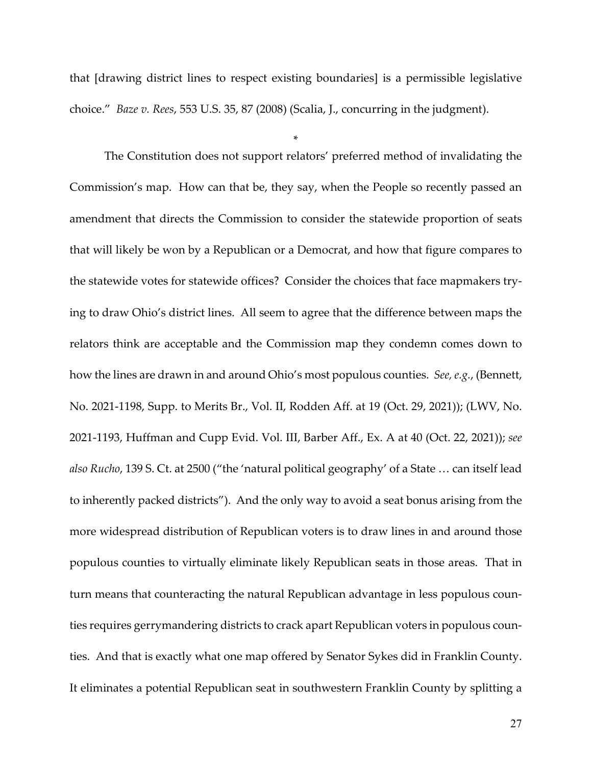<span id="page-45-0"></span>that [drawing district lines to respect existing boundaries] is a permissible legislative choice." *Baze v. Rees*, 553 U.S. 35, 87 (2008) (Scalia, J., concurring in the judgment).

\*

<span id="page-45-1"></span>The Constitution does not support relators' preferred method of invalidating the Commission's map. How can that be, they say, when the People so recently passed an amendment that directs the Commission to consider the statewide proportion of seats that will likely be won by a Republican or a Democrat, and how that figure compares to the statewide votes for statewide offices? Consider the choices that face mapmakers trying to draw Ohio's district lines. All seem to agree that the difference between maps the relators think are acceptable and the Commission map they condemn comes down to how the lines are drawn in and around Ohio's most populous counties. *See, e.g.*, (Bennett, No. 2021-1198, Supp. to Merits Br., Vol. II, Rodden Aff. at 19 (Oct. 29, 2021)); (LWV, No. 2021-1193, Huffman and Cupp Evid. Vol. III, Barber Aff., Ex. A at 40 (Oct. 22, 2021)); *see also Rucho*, 139 S. Ct. at 2500 ("the 'natural political geography' of a State … can itself lead to inherently packed districts"). And the only way to avoid a seat bonus arising from the more widespread distribution of Republican voters is to draw lines in and around those populous counties to virtually eliminate likely Republican seats in those areas. That in turn means that counteracting the natural Republican advantage in less populous counties requires gerrymandering districts to crack apart Republican voters in populous counties. And that is exactly what one map offered by Senator Sykes did in Franklin County. It eliminates a potential Republican seat in southwestern Franklin County by splitting a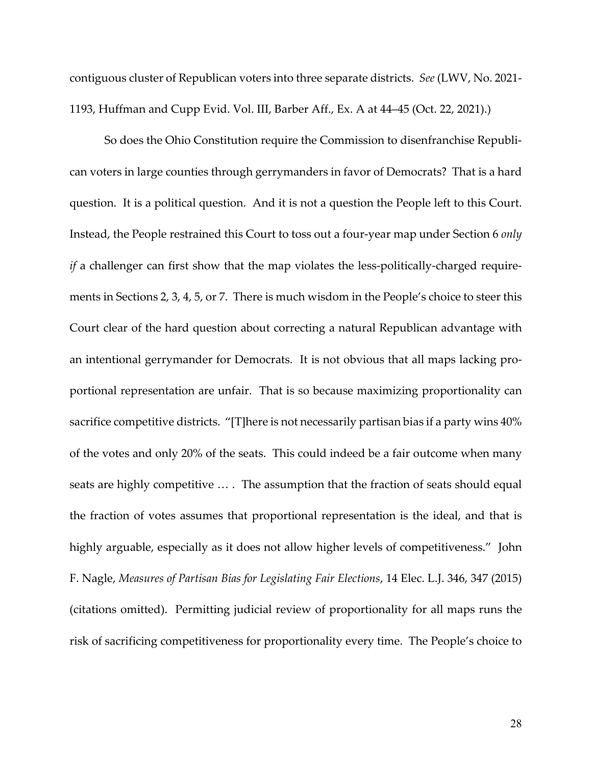contiguous cluster of Republican voters into three separate districts. *See* (LWV, No. 2021- 1193, Huffman and Cupp Evid. Vol. III, Barber Aff., Ex. A at 44–45 (Oct. 22, 2021).)

<span id="page-46-0"></span>So does the Ohio Constitution require the Commission to disenfranchise Republican voters in large counties through gerrymanders in favor of Democrats? That is a hard question. It is a political question. And it is not a question the People left to this Court. Instead, the People restrained this Court to toss out a four-year map under Section 6 *only if* a challenger can first show that the map violates the less-politically-charged requirements in Sections 2, 3, 4, 5, or 7. There is much wisdom in the People's choice to steer this Court clear of the hard question about correcting a natural Republican advantage with an intentional gerrymander for Democrats. It is not obvious that all maps lacking proportional representation are unfair. That is so because maximizing proportionality can sacrifice competitive districts. "[T]here is not necessarily partisan bias if a party wins 40% of the votes and only 20% of the seats. This could indeed be a fair outcome when many seats are highly competitive … . The assumption that the fraction of seats should equal the fraction of votes assumes that proportional representation is the ideal, and that is highly arguable, especially as it does not allow higher levels of competitiveness." John F. Nagle, *Measures of Partisan Bias for Legislating Fair Elections*, 14 Elec. L.J. 346, 347 (2015) (citations omitted). Permitting judicial review of proportionality for all maps runs the risk of sacrificing competitiveness for proportionality every time. The People's choice to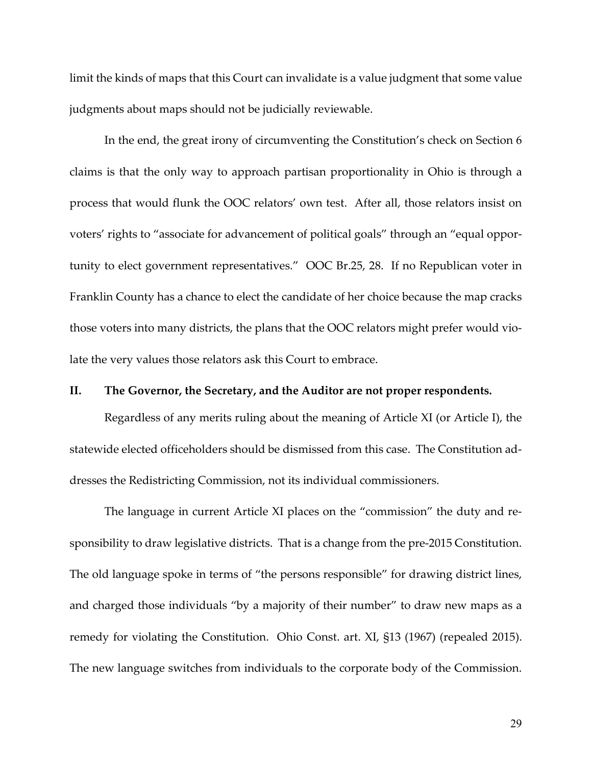limit the kinds of maps that this Court can invalidate is a value judgment that some value judgments about maps should not be judicially reviewable.

In the end, the great irony of circumventing the Constitution's check on Section 6 claims is that the only way to approach partisan proportionality in Ohio is through a process that would flunk the OOC relators' own test. After all, those relators insist on voters' rights to "associate for advancement of political goals" through an "equal opportunity to elect government representatives." OOC Br.25, 28. If no Republican voter in Franklin County has a chance to elect the candidate of her choice because the map cracks those voters into many districts, the plans that the OOC relators might prefer would violate the very values those relators ask this Court to embrace.

### <span id="page-47-0"></span>**II. The Governor, the Secretary, and the Auditor are not proper respondents.**

<span id="page-47-1"></span>Regardless of any merits ruling about the meaning of Article XI (or Article I), the statewide elected officeholders should be dismissed from this case. The Constitution addresses the Redistricting Commission, not its individual commissioners.

<span id="page-47-2"></span>The language in current Article XI places on the "commission" the duty and responsibility to draw legislative districts. That is a change from the pre-2015 Constitution. The old language spoke in terms of "the persons responsible" for drawing district lines, and charged those individuals "by a majority of their number" to draw new maps as a remedy for violating the Constitution. Ohio Const. art. XI, §13 (1967) (repealed 2015). The new language switches from individuals to the corporate body of the Commission.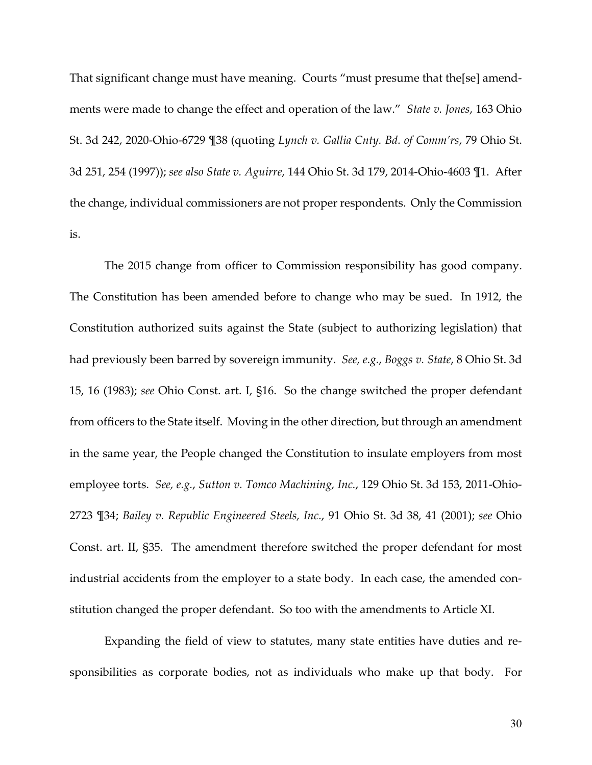<span id="page-48-3"></span><span id="page-48-2"></span>That significant change must have meaning. Courts "must presume that the[se] amendments were made to change the effect and operation of the law." *State v. Jones*, 163 Ohio St. 3d 242, 2020-Ohio-6729 ¶38 (quoting *Lynch v. Gallia Cnty. Bd. of Comm'rs*, 79 Ohio St. 3d 251, 254 (1997)); *see also State v. Aguirre*, 144 Ohio St. 3d 179, 2014-Ohio-4603 ¶1. After the change, individual commissioners are not proper respondents. Only the Commission is.

<span id="page-48-5"></span><span id="page-48-1"></span>The 2015 change from officer to Commission responsibility has good company. The Constitution has been amended before to change who may be sued. In 1912, the Constitution authorized suits against the State (subject to authorizing legislation) that had previously been barred by sovereign immunity. *See, e.g.*, *Boggs v. State*, 8 Ohio St. 3d 15, 16 (1983); *see* Ohio Const. art. I, §16. So the change switched the proper defendant from officers to the State itself. Moving in the other direction, but through an amendment in the same year, the People changed the Constitution to insulate employers from most employee torts. *See, e.g.*, *Sutton v. Tomco Machining, Inc.*, 129 Ohio St. 3d 153, 2011-Ohio-2723 ¶34; *Bailey v. Republic Engineered Steels, Inc.*, 91 Ohio St. 3d 38, 41 (2001); *see* Ohio Const. art. II, §35. The amendment therefore switched the proper defendant for most industrial accidents from the employer to a state body. In each case, the amended constitution changed the proper defendant. So too with the amendments to Article XI.

<span id="page-48-6"></span><span id="page-48-4"></span><span id="page-48-0"></span>Expanding the field of view to statutes, many state entities have duties and responsibilities as corporate bodies, not as individuals who make up that body. For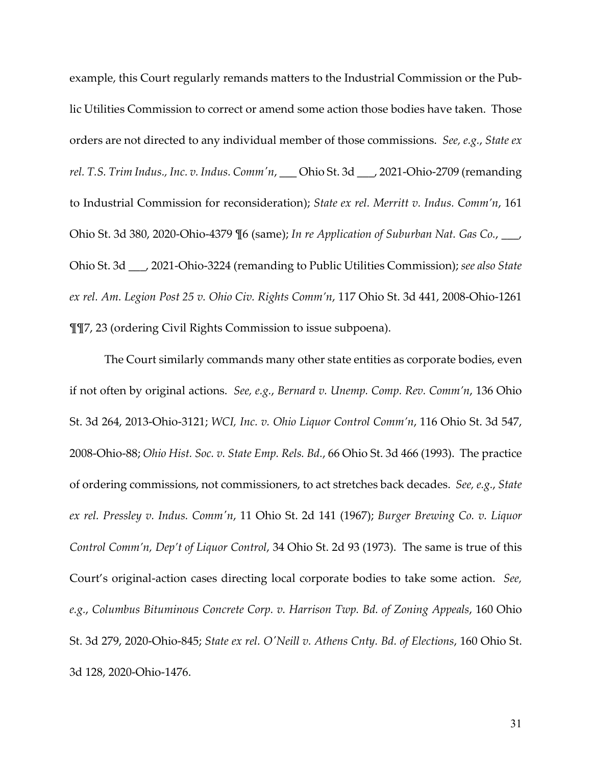<span id="page-49-9"></span><span id="page-49-5"></span>example, this Court regularly remands matters to the Industrial Commission or the Public Utilities Commission to correct or amend some action those bodies have taken. Those orders are not directed to any individual member of those commissions. *See, e.g.*, *State ex rel. T.S. Trim Indus., Inc. v. Indus. Comm'n*, \_\_\_ Ohio St. 3d \_\_\_, 2021-Ohio-2709 (remanding to Industrial Commission for reconsideration); *State ex rel. Merritt v. Indus. Comm'n*, 161 Ohio St. 3d 380, 2020-Ohio-4379 ¶6 (same); *In re Application of Suburban Nat. Gas Co.*, \_\_\_, Ohio St. 3d \_\_\_, 2021-Ohio-3224 (remanding to Public Utilities Commission); *see also State ex rel. Am. Legion Post 25 v. Ohio Civ. Rights Comm'n*, 117 Ohio St. 3d 441, 2008-Ohio-1261 ¶¶7, 23 (ordering Civil Rights Commission to issue subpoena).

<span id="page-49-10"></span><span id="page-49-8"></span><span id="page-49-7"></span><span id="page-49-6"></span><span id="page-49-4"></span><span id="page-49-3"></span><span id="page-49-2"></span><span id="page-49-1"></span><span id="page-49-0"></span>The Court similarly commands many other state entities as corporate bodies, even if not often by original actions. *See, e.g.*, *Bernard v. Unemp. Comp. Rev. Comm'n*, 136 Ohio St. 3d 264, 2013-Ohio-3121; *WCI, Inc. v. Ohio Liquor Control Comm'n*, 116 Ohio St. 3d 547, 2008-Ohio-88; *Ohio Hist. Soc. v. State Emp. Rels. Bd.*, 66 Ohio St. 3d 466 (1993). The practice of ordering commissions, not commissioners, to act stretches back decades. *See, e.g.*, *State ex rel. Pressley v. Indus. Comm'n*, 11 Ohio St. 2d 141 (1967); *Burger Brewing Co. v. Liquor Control Comm'n, Dep't of Liquor Control*, 34 Ohio St. 2d 93 (1973). The same is true of this Court's original-action cases directing local corporate bodies to take some action. *See, e.g.*, *Columbus Bituminous Concrete Corp. v. Harrison Twp. Bd. of Zoning Appeals*, 160 Ohio St. 3d 279, 2020-Ohio-845; *State ex rel. O'Neill v. Athens Cnty. Bd. of Elections*, 160 Ohio St. 3d 128, 2020-Ohio-1476.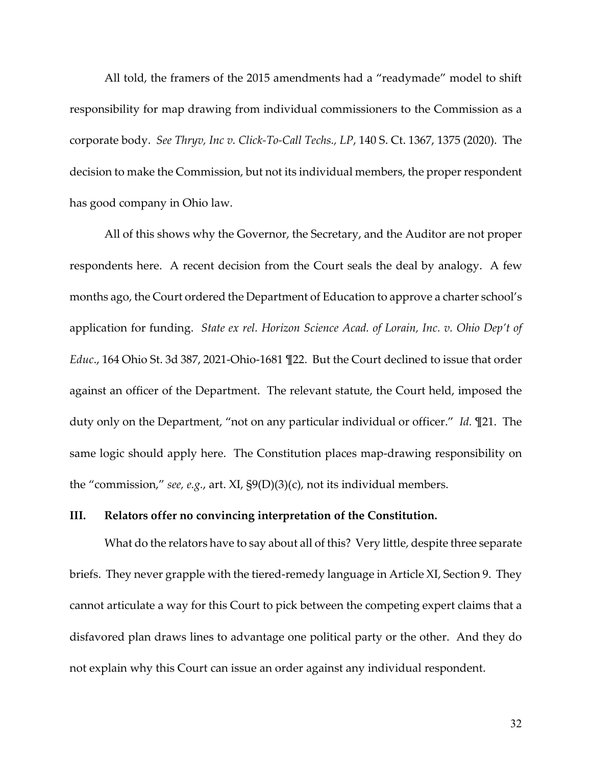<span id="page-50-2"></span>All told, the framers of the 2015 amendments had a "readymade" model to shift responsibility for map drawing from individual commissioners to the Commission as a corporate body. *See Thryv, Inc v. Click-To-Call Techs., LP*, 140 S. Ct. 1367, 1375 (2020). The decision to make the Commission, but not its individual members, the proper respondent has good company in Ohio law.

<span id="page-50-1"></span>All of this shows why the Governor, the Secretary, and the Auditor are not proper respondents here. A recent decision from the Court seals the deal by analogy. A few months ago, the Court ordered the Department of Education to approve a charter school's application for funding. *State ex rel. Horizon Science Acad. of Lorain, Inc. v. Ohio Dep't of Educ*., 164 Ohio St. 3d 387, 2021-Ohio-1681 ¶22. But the Court declined to issue that order against an officer of the Department. The relevant statute, the Court held, imposed the duty only on the Department, "not on any particular individual or officer." *Id.* ¶21. The same logic should apply here. The Constitution places map-drawing responsibility on the "commission," *see, e.g.*, art. XI, §9(D)(3)(c), not its individual members.

### <span id="page-50-4"></span><span id="page-50-0"></span>**III. Relators offer no convincing interpretation of the Constitution.**

<span id="page-50-3"></span>What do the relators have to say about all of this? Very little, despite three separate briefs. They never grapple with the tiered-remedy language in Article XI, Section 9. They cannot articulate a way for this Court to pick between the competing expert claims that a disfavored plan draws lines to advantage one political party or the other. And they do not explain why this Court can issue an order against any individual respondent.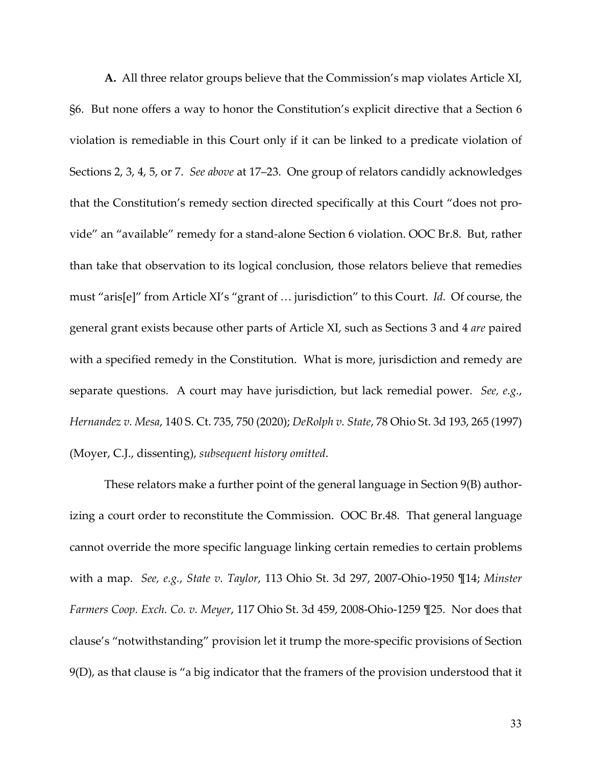**A.** All three relator groups believe that the Commission's map violates Article XI, §6. But none offers a way to honor the Constitution's explicit directive that a Section 6 violation is remediable in this Court only if it can be linked to a predicate violation of Sections 2, 3, 4, 5, or 7. *See above* at 17–23. One group of relators candidly acknowledges that the Constitution's remedy section directed specifically at this Court "does not provide" an "available" remedy for a stand-alone Section 6 violation. OOC Br.8. But, rather than take that observation to its logical conclusion, those relators believe that remedies must "aris[e]" from Article XI's "grant of … jurisdiction" to this Court. *Id.* Of course, the general grant exists because other parts of Article XI, such as Sections 3 and 4 *are* paired with a specified remedy in the Constitution. What is more, jurisdiction and remedy are separate questions. A court may have jurisdiction, but lack remedial power. *See, e.g.*, *Hernandez v. Mesa*, 140 S. Ct. 735, 750 (2020); *DeRolph v. State*, 78 Ohio St. 3d 193, 265 (1997) (Moyer, C.J., dissenting), *subsequent history omitted*.

<span id="page-51-5"></span><span id="page-51-4"></span><span id="page-51-3"></span><span id="page-51-2"></span><span id="page-51-1"></span><span id="page-51-0"></span>These relators make a further point of the general language in Section 9(B) authorizing a court order to reconstitute the Commission. OOC Br.48. That general language cannot override the more specific language linking certain remedies to certain problems with a map. *See, e.g.*, *State v. Taylor*, 113 Ohio St. 3d 297, 2007-Ohio-1950 ¶14; *Minster Farmers Coop. Exch. Co. v. Meyer*, 117 Ohio St. 3d 459, 2008-Ohio-1259 ¶25. Nor does that clause's "notwithstanding" provision let it trump the more-specific provisions of Section 9(D), as that clause is "a big indicator that the framers of the provision understood that it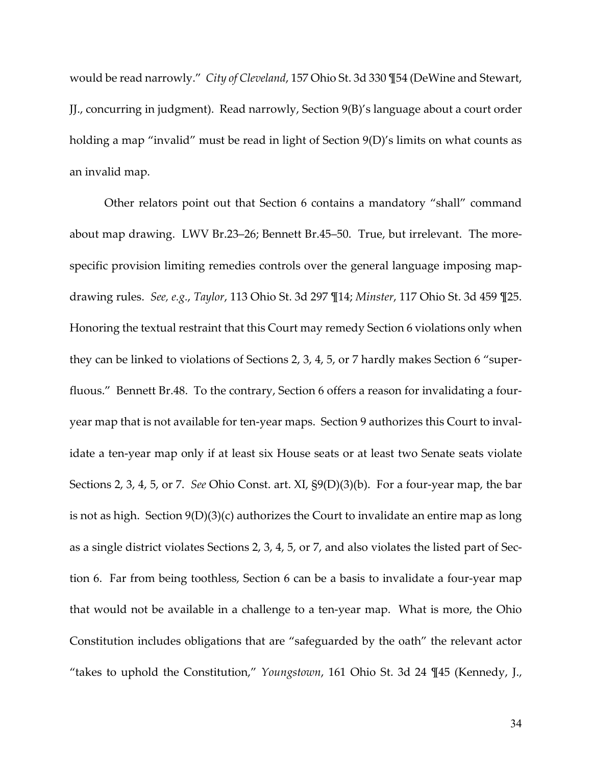<span id="page-52-5"></span><span id="page-52-4"></span><span id="page-52-0"></span>would be read narrowly." *City of Cleveland*, 157 Ohio St. 3d 330 ¶54 (DeWine and Stewart, JJ., concurring in judgment). Read narrowly, Section 9(B)'s language about a court order holding a map "invalid" must be read in light of Section 9(D)'s limits on what counts as an invalid map.

<span id="page-52-7"></span><span id="page-52-6"></span><span id="page-52-3"></span><span id="page-52-2"></span><span id="page-52-1"></span>Other relators point out that Section 6 contains a mandatory "shall" command about map drawing. LWV Br.23–26; Bennett Br.45–50. True, but irrelevant. The morespecific provision limiting remedies controls over the general language imposing mapdrawing rules. *See, e.g.*, *Taylor*, 113 Ohio St. 3d 297 ¶14; *Minster*, 117 Ohio St. 3d 459 ¶25. Honoring the textual restraint that this Court may remedy Section 6 violations only when they can be linked to violations of Sections 2, 3, 4, 5, or 7 hardly makes Section 6 "superfluous." Bennett Br.48. To the contrary, Section 6 offers a reason for invalidating a fouryear map that is not available for ten-year maps. Section 9 authorizes this Court to invalidate a ten-year map only if at least six House seats or at least two Senate seats violate Sections 2, 3, 4, 5, or 7. *See* Ohio Const. art. XI, §9(D)(3)(b). For a four-year map, the bar is not as high. Section 9(D)(3)(c) authorizes the Court to invalidate an entire map as long as a single district violates Sections 2, 3, 4, 5, or 7, and also violates the listed part of Section 6. Far from being toothless, Section 6 can be a basis to invalidate a four-year map that would not be available in a challenge to a ten-year map. What is more, the Ohio Constitution includes obligations that are "safeguarded by the oath" the relevant actor "takes to uphold the Constitution," *Youngstown*, 161 Ohio St. 3d 24 ¶45 (Kennedy, J.,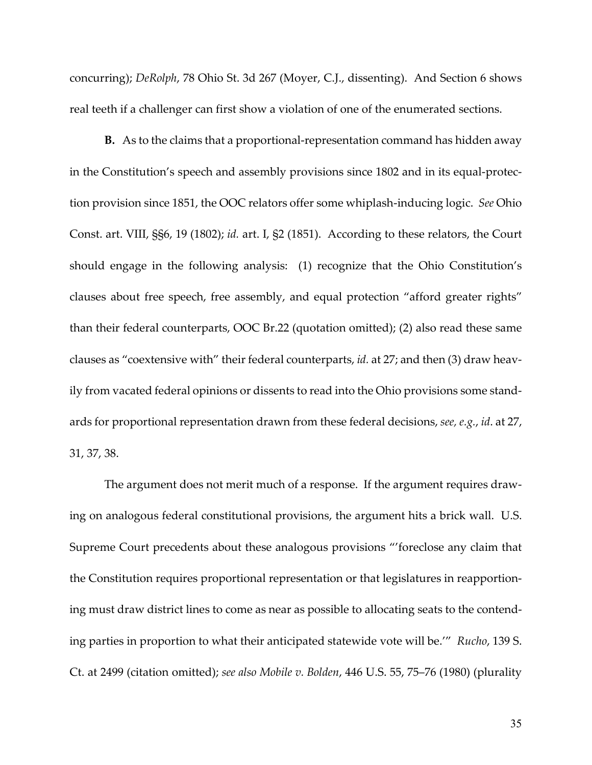<span id="page-53-0"></span>concurring); *DeRolph*, 78 Ohio St. 3d 267 (Moyer, C.J., dissenting). And Section 6 shows real teeth if a challenger can first show a violation of one of the enumerated sections.

<span id="page-53-4"></span><span id="page-53-3"></span>**B.** As to the claims that a proportional-representation command has hidden away in the Constitution's speech and assembly provisions since 1802 and in its equal-protection provision since 1851, the OOC relators offer some whiplash-inducing logic. *See* Ohio Const. art. VIII, §§6, 19 (1802); *id.* art. I, §2 (1851). According to these relators, the Court should engage in the following analysis: (1) recognize that the Ohio Constitution's clauses about free speech, free assembly, and equal protection "afford greater rights" than their federal counterparts, OOC Br.22 (quotation omitted); (2) also read these same clauses as "coextensive with" their federal counterparts, *id.* at 27; and then (3) draw heavily from vacated federal opinions or dissents to read into the Ohio provisions some standards for proportional representation drawn from these federal decisions, *see, e.g.*, *id*. at 27, 31, 37, 38.

<span id="page-53-2"></span><span id="page-53-1"></span>The argument does not merit much of a response. If the argument requires drawing on analogous federal constitutional provisions, the argument hits a brick wall. U.S. Supreme Court precedents about these analogous provisions "'foreclose any claim that the Constitution requires proportional representation or that legislatures in reapportioning must draw district lines to come as near as possible to allocating seats to the contending parties in proportion to what their anticipated statewide vote will be.'" *Rucho*, 139 S. Ct. at 2499 (citation omitted); *see also Mobile v. Bolden*, 446 U.S. 55, 75–76 (1980) (plurality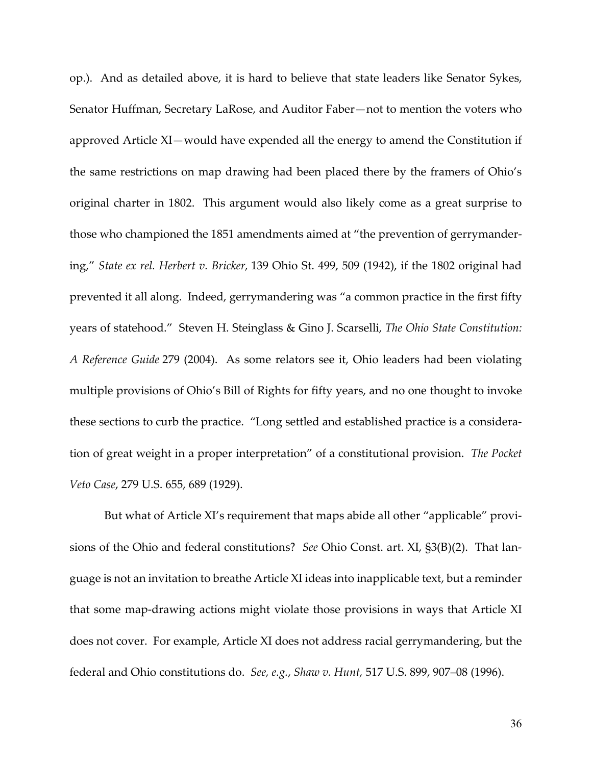<span id="page-54-0"></span>op.). And as detailed above, it is hard to believe that state leaders like Senator Sykes, Senator Huffman, Secretary LaRose, and Auditor Faber—not to mention the voters who approved Article XI—would have expended all the energy to amend the Constitution if the same restrictions on map drawing had been placed there by the framers of Ohio's original charter in 1802. This argument would also likely come as a great surprise to those who championed the 1851 amendments aimed at "the prevention of gerrymandering," *State ex rel. Herbert v. Bricker,* 139 Ohio St. 499, 509 (1942), if the 1802 original had prevented it all along. Indeed, gerrymandering was "a common practice in the first fifty years of statehood." Steven H. Steinglass & Gino J. Scarselli, *The Ohio State Constitution: A Reference Guide* 279 (2004). As some relators see it, Ohio leaders had been violating multiple provisions of Ohio's Bill of Rights for fifty years, and no one thought to invoke these sections to curb the practice. "Long settled and established practice is a consideration of great weight in a proper interpretation" of a constitutional provision. *The Pocket Veto Case*, 279 U.S. 655, 689 (1929).

<span id="page-54-3"></span><span id="page-54-2"></span><span id="page-54-1"></span>But what of Article XI's requirement that maps abide all other "applicable" provisions of the Ohio and federal constitutions? *See* Ohio Const. art. XI, §3(B)(2). That language is not an invitation to breathe Article XI ideas into inapplicable text, but a reminder that some map-drawing actions might violate those provisions in ways that Article XI does not cover. For example, Article XI does not address racial gerrymandering, but the federal and Ohio constitutions do. *See, e.g.*, *Shaw v. Hunt,* 517 U.S. 899, 907–08 (1996).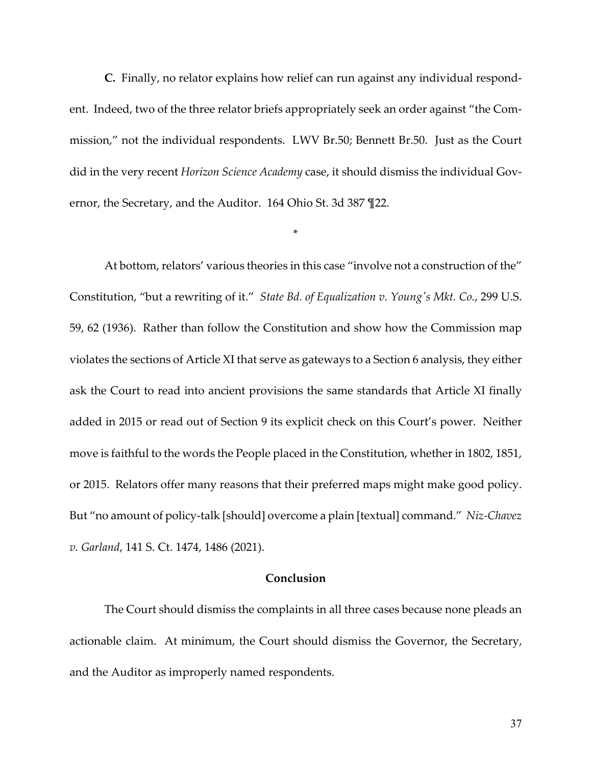**C.** Finally, no relator explains how relief can run against any individual respondent. Indeed, two of the three relator briefs appropriately seek an order against "the Commission," not the individual respondents. LWV Br.50; Bennett Br.50. Just as the Court did in the very recent *Horizon Science Academy* case, it should dismiss the individual Governor, the Secretary, and the Auditor. 164 Ohio St. 3d 387 ¶22.

<span id="page-55-2"></span><span id="page-55-0"></span>\*

At bottom, relators' various theories in this case "involve not a construction of the" Constitution, "but a rewriting of it." *State Bd. of Equalization v. Young's Mkt. Co.*, 299 U.S. 59, 62 (1936). Rather than follow the Constitution and show how the Commission map violates the sections of Article XI that serve as gateways to a Section 6 analysis, they either ask the Court to read into ancient provisions the same standards that Article XI finally added in 2015 or read out of Section 9 its explicit check on this Court's power. Neither move is faithful to the words the People placed in the Constitution, whether in 1802, 1851, or 2015. Relators offer many reasons that their preferred maps might make good policy. But "no amount of policy-talk [should] overcome a plain [textual] command." *Niz-Chavez v. Garland*, 141 S. Ct. 1474, 1486 (2021).

### <span id="page-55-1"></span>**Conclusion**

The Court should dismiss the complaints in all three cases because none pleads an actionable claim. At minimum, the Court should dismiss the Governor, the Secretary, and the Auditor as improperly named respondents.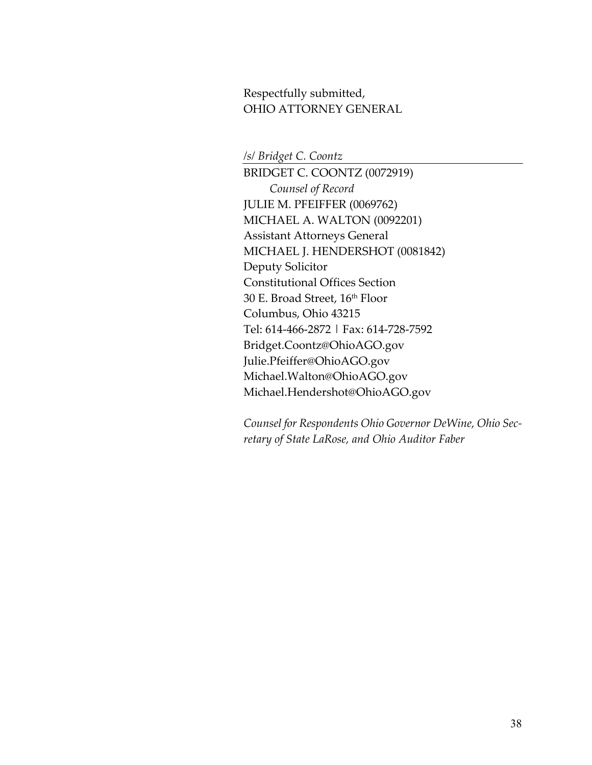Respectfully submitted, OHIO ATTORNEY GENERAL

*/s/ Bridget C. Coontz*

BRIDGET C. COONTZ (0072919) *Counsel of Record* JULIE M. PFEIFFER (0069762) MICHAEL A. WALTON (0092201) Assistant Attorneys General MICHAEL J. HENDERSHOT (0081842) Deputy Solicitor Constitutional Offices Section 30 E. Broad Street, 16th Floor Columbus, Ohio 43215 Tel: 614-466-2872 | Fax: 614-728-7592 Bridget.Coontz@OhioAGO.gov Julie.Pfeiffer@OhioAGO.gov Michael.Walton@OhioAGO.gov Michael.Hendershot@OhioAGO.gov

*Counsel for Respondents Ohio Governor DeWine, Ohio Secretary of State LaRose, and Ohio Auditor Faber*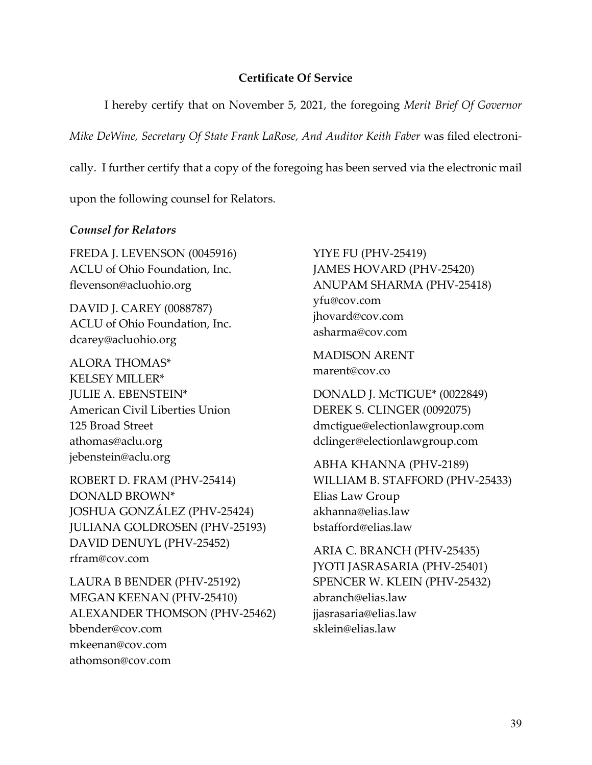### **Certificate Of Service**

<span id="page-57-0"></span>I hereby certify that on November 5, 2021, the foregoing *Merit Brief Of Governor Mike DeWine, Secretary Of State Frank LaRose, And Auditor Keith Faber* was filed electronically. I further certify that a copy of the foregoing has been served via the electronic mail upon the following counsel for Relators.

### *Counsel for Relators*

FREDA J. LEVENSON (0045916) ACLU of Ohio Foundation, Inc. flevenson@acluohio.org

DAVID J. CAREY (0088787) ACLU of Ohio Foundation, Inc. dcarey@acluohio.org

ALORA THOMAS\* KELSEY MILLER\* JULIE A. EBENSTEIN\* American Civil Liberties Union 125 Broad Street athomas@aclu.org jebenstein@aclu.org

ROBERT D. FRAM (PHV-25414) DONALD BROWN\* JOSHUA GONZÁLEZ (PHV-25424) JULIANA GOLDROSEN (PHV-25193) DAVID DENUYL (PHV-25452) rfram@cov.com

LAURA B BENDER (PHV-25192) MEGAN KEENAN (PHV-25410) ALEXANDER THOMSON (PHV-25462) bbender@cov.com mkeenan@cov.com athomson@cov.com

YIYE FU (PHV-25419) JAMES HOVARD (PHV-25420) ANUPAM SHARMA (PHV-25418) yfu@cov.com jhovard@cov.com asharma@cov.com

MADISON ARENT marent@cov.co

DONALD J. MCTIGUE\* (0022849) DEREK S. CLINGER (0092075) dmctigue@electionlawgroup.com dclinger@electionlawgroup.com

ABHA KHANNA (PHV-2189) WILLIAM B. STAFFORD (PHV-25433) Elias Law Group akhanna@elias.law bstafford@elias.law

ARIA C. BRANCH (PHV-25435) JYOTI JASRASARIA (PHV-25401) SPENCER W. KLEIN (PHV-25432) abranch@elias.law jjasrasaria@elias.law sklein@elias.law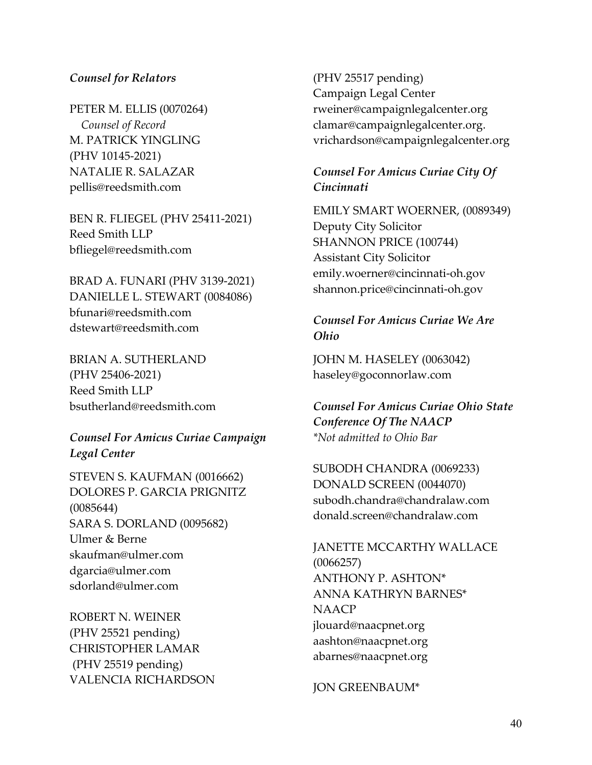## *Counsel for Relators*

PETER M. ELLIS (0070264)  *Counsel of Record* M. PATRICK YINGLING (PHV 10145-2021) NATALIE R. SALAZAR pellis@reedsmith.com

BEN R. FLIEGEL (PHV 25411-2021) Reed Smith LLP bfliegel@reedsmith.com

BRAD A. FUNARI (PHV 3139-2021) DANIELLE L. STEWART (0084086) bfunari@reedsmith.com dstewart@reedsmith.com

BRIAN A. SUTHERLAND (PHV 25406-2021) Reed Smith LLP bsutherland@reedsmith.com

*Counsel For Amicus Curiae Campaign Legal Center*

STEVEN S. KAUFMAN (0016662) DOLORES P. GARCIA PRIGNITZ (0085644) SARA S. DORLAND (0095682) Ulmer & Berne skaufman@ulmer.com dgarcia@ulmer.com sdorland@ulmer.com

ROBERT N. WEINER (PHV 25521 pending) CHRISTOPHER LAMAR (PHV 25519 pending) VALENCIA RICHARDSON (PHV 25517 pending) Campaign Legal Center rweiner@campaignlegalcenter.org clamar@campaignlegalcenter.org. vrichardson@campaignlegalcenter.org

# *Counsel For Amicus Curiae City Of Cincinnati*

EMILY SMART WOERNER, (0089349) Deputy City Solicitor SHANNON PRICE (100744) Assistant City Solicitor emily.woerner@cincinnati-oh.gov shannon.price@cincinnati-oh.gov

## *Counsel For Amicus Curiae We Are Ohio*

JOHN M. HASELEY (0063042) haseley@goconnorlaw.com

*Counsel For Amicus Curiae Ohio State Conference Of The NAACP \*Not admitted to Ohio Bar*

SUBODH CHANDRA (0069233) DONALD SCREEN (0044070) subodh.chandra@chandralaw.com donald.screen@chandralaw.com

JANETTE MCCARTHY WALLACE (0066257) ANTHONY P. ASHTON\* ANNA KATHRYN BARNES\* NAACP jlouard@naacpnet.org aashton@naacpnet.org abarnes@naacpnet.org

JON GREENBAUM\*